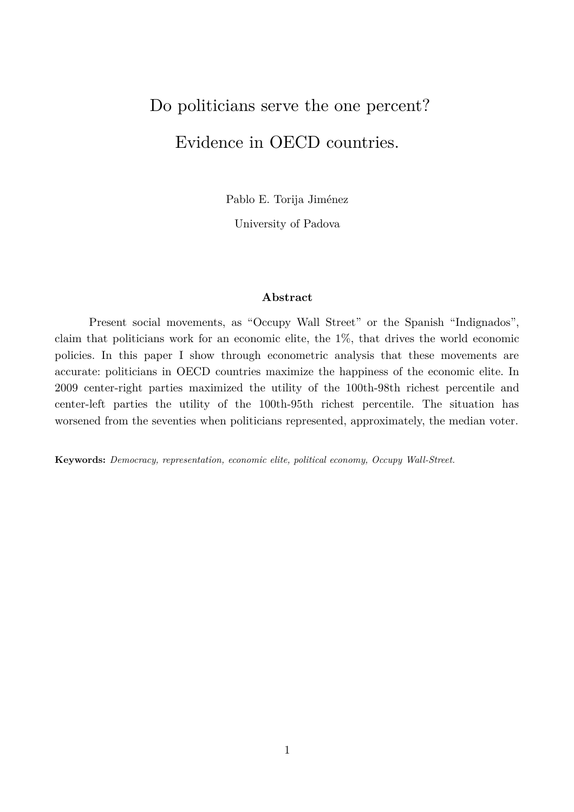# Do politicians serve the one percent? Evidence in OECD countries.

Pablo E. Torija Jiménez

University of Padova

#### **Abstract**

Present social movements, as "Occupy Wall Street" or the Spanish "Indignados", claim that politicians work for an economic elite, the 1%, that drives the world economic policies. In this paper I show through econometric analysis that these movements are accurate: politicians in OECD countries maximize the happiness of the economic elite. In 2009 center-right parties maximized the utility of the 100th-98th richest percentile and center-left parties the utility of the 100th-95th richest percentile. The situation has worsened from the seventies when politicians represented, approximately, the median voter.

**Keywords:** *Democracy, representation, economic elite, political economy, Occupy Wall-Street.*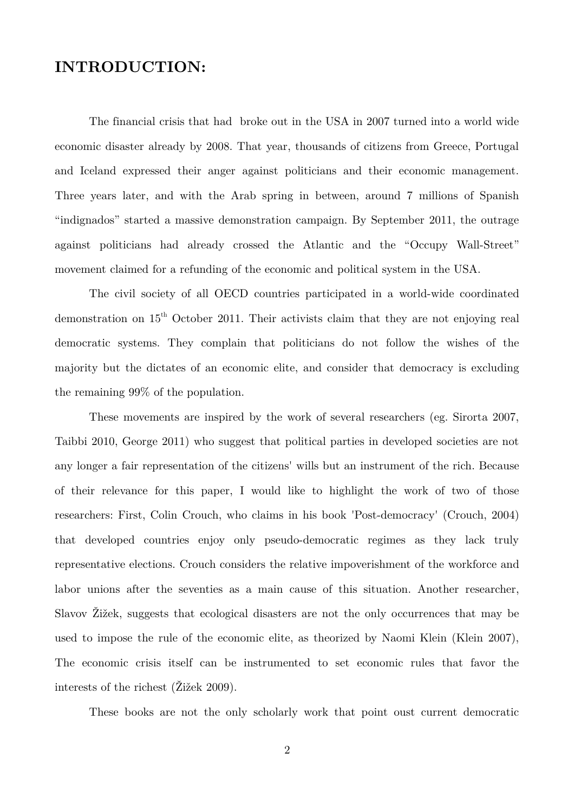# **INTRODUCTION:**

The financial crisis that had broke out in the USA in 2007 turned into a world wide economic disaster already by 2008. That year, thousands of citizens from Greece, Portugal and Iceland expressed their anger against politicians and their economic management. Three years later, and with the Arab spring in between, around 7 millions of Spanish "indignados" started a massive demonstration campaign. By September 2011, the outrage against politicians had already crossed the Atlantic and the "Occupy Wall-Street" movement claimed for a refunding of the economic and political system in the USA.

The civil society of all OECD countries participated in a world-wide coordinated demonstration on 15th October 2011. Their activists claim that they are not enjoying real democratic systems. They complain that politicians do not follow the wishes of the majority but the dictates of an economic elite, and consider that democracy is excluding the remaining 99% of the population.

These movements are inspired by the work of several researchers (eg. Sirorta 2007, Taibbi 2010, George 2011) who suggest that political parties in developed societies are not any longer a fair representation of the citizens' wills but an instrument of the rich. Because of their relevance for this paper, I would like to highlight the work of two of those researchers: First, Colin Crouch, who claims in his book 'Post-democracy' (Crouch, 2004) that developed countries enjoy only pseudo-democratic regimes as they lack truly representative elections. Crouch considers the relative impoverishment of the workforce and labor unions after the seventies as a main cause of this situation. Another researcher, Slavov Žižek, suggests that ecological disasters are not the only occurrences that may be used to impose the rule of the economic elite, as theorized by Naomi Klein (Klein 2007), The economic crisis itself can be instrumented to set economic rules that favor the interests of the richest (Žižek 2009).

These books are not the only scholarly work that point oust current democratic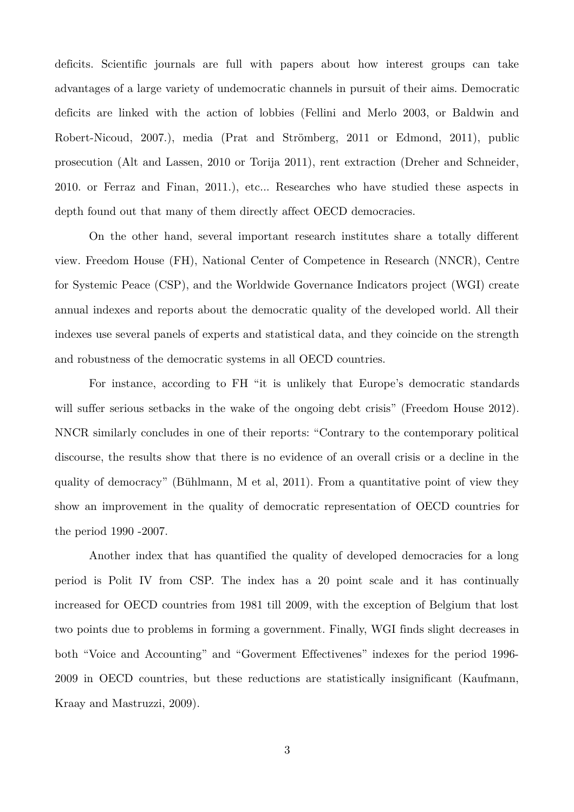deficits. Scientific journals are full with papers about how interest groups can take advantages of a large variety of undemocratic channels in pursuit of their aims. Democratic deficits are linked with the action of lobbies (Fellini and Merlo 2003, or Baldwin and Robert-Nicoud, 2007.), media (Prat and Strömberg, 2011 or Edmond, 2011), public prosecution (Alt and Lassen, 2010 or Torija 2011), rent extraction (Dreher and Schneider, 2010. or Ferraz and Finan, 2011.), etc... Researches who have studied these aspects in depth found out that many of them directly affect OECD democracies.

On the other hand, several important research institutes share a totally different view. Freedom House (FH), National Center of Competence in Research (NNCR), Centre for Systemic Peace (CSP), and the Worldwide Governance Indicators project (WGI) create annual indexes and reports about the democratic quality of the developed world. All their indexes use several panels of experts and statistical data, and they coincide on the strength and robustness of the democratic systems in all OECD countries.

For instance, according to FH "it is unlikely that Europe's democratic standards will suffer serious setbacks in the wake of the ongoing debt crisis" (Freedom House 2012). NNCR similarly concludes in one of their reports: "Contrary to the contemporary political discourse, the results show that there is no evidence of an overall crisis or a decline in the quality of democracy" (Bühlmann, M et al, 2011). From a quantitative point of view they show an improvement in the quality of democratic representation of OECD countries for the period 1990 -2007.

Another index that has quantified the quality of developed democracies for a long period is Polit IV from CSP. The index has a 20 point scale and it has continually increased for OECD countries from 1981 till 2009, with the exception of Belgium that lost two points due to problems in forming a government. Finally, WGI finds slight decreases in both "Voice and Accounting" and "Goverment Effectivenes" indexes for the period 1996- 2009 in OECD countries, but these reductions are statistically insignificant (Kaufmann, Kraay and Mastruzzi, 2009).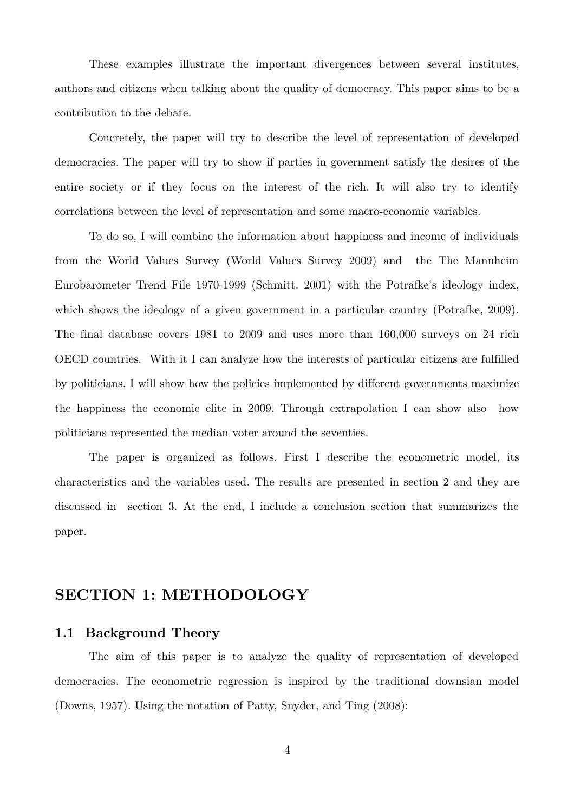These examples illustrate the important divergences between several institutes, authors and citizens when talking about the quality of democracy. This paper aims to be a contribution to the debate.

Concretely, the paper will try to describe the level of representation of developed democracies. The paper will try to show if parties in government satisfy the desires of the entire society or if they focus on the interest of the rich. It will also try to identify correlations between the level of representation and some macro-economic variables.

To do so, I will combine the information about happiness and income of individuals from the World Values Survey (World Values Survey 2009) and the The Mannheim Eurobarometer Trend File 1970-1999 (Schmitt. 2001) with the Potrafke's ideology index, which shows the ideology of a given government in a particular country (Potrafke, 2009). The final database covers 1981 to 2009 and uses more than 160,000 surveys on 24 rich OECD countries. With it I can analyze how the interests of particular citizens are fulfilled by politicians. I will show how the policies implemented by different governments maximize the happiness the economic elite in 2009. Through extrapolation I can show also how politicians represented the median voter around the seventies.

The paper is organized as follows. First I describe the econometric model, its characteristics and the variables used. The results are presented in section 2 and they are discussed in section 3. At the end, I include a conclusion section that summarizes the paper.

# **SECTION 1: METHODOLOGY**

## **1.1 Background Theory**

The aim of this paper is to analyze the quality of representation of developed democracies. The econometric regression is inspired by the traditional downsian model (Downs, 1957). Using the notation of Patty, Snyder, and Ting (2008):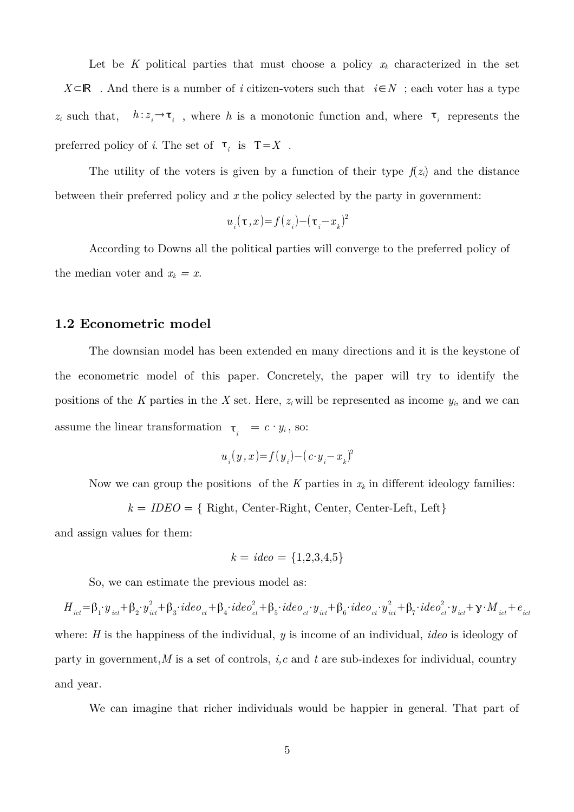Let be K political parties that must choose a policy  $x_k$  characterized in the set *X*⊂ℝ . And there is a number of *i* citizen-voters such that *i*∈*N* ; each voter has a type z<sub>*i*</sub> such that,  $h:z_i \to \tau_i$ , where h is a monotonic function and, where  $\tau_i$  represents the preferred policy of *i*. The set of  $\tau_i$  is  $T=X$ .

The utility of the voters is given by a function of their type  $f(z_i)$  and the distance between their preferred policy and *x* the policy selected by the party in government:

$$
u_{_i}(\tau\,,x)\hspace{-0.1cm}=\hspace{-0.1cm}f\hspace{-0.2pt}\left(z_{_i}\right)\hspace{-0.1cm}-\hspace{-0.1cm}(\tau_{_i}\hspace{-0.1cm}-\hspace{-0.1cm}x_{_k})^2
$$

According to Downs all the political parties will converge to the preferred policy of the median voter and  $x_k = x$ .

### **1.2 Econometric model**

The downsian model has been extended en many directions and it is the keystone of the econometric model of this paper. Concretely, the paper will try to identify the positions of the *K* parties in the *X* set. Here,  $z_i$  will be represented as income  $y_i$ , and we can assume the linear transformation  $\tau_i = c \cdot y_i$ , so:

$$
u_{_i}(y\,,x)\!\!=\!\!f\!\left(\,y_{_i}\right)\!-\!\left(\,c\!\cdot\!y_{_i}\!\!-\!x_{_k}\right)^{\!2}
$$

Now we can group the positions of the  $K$  parties in  $x_k$  in different ideology families:

$$
k = IDEO = \{ Right, Center-Right, Center, Center-Left, Left\}
$$

and assign values for them:

$$
k = ideo = \{1, 2, 3, 4, 5\}
$$

So, we can estimate the previous model as:

 $H_{\ _{ict}}=\beta_{1}\cdot y_{\ _{ict}}+\beta_{2}\cdot y_{\ _{ict}}^{2}+\beta_{3}\cdot ideo_{\ _{ct}}+\beta_{4}\cdot ideo_{\ _{ct}}^{2}+\beta_{5}\cdot ideo_{\ _{ct}}\cdot y_{\ _{ict}}+\beta_{6}\cdot ideo_{\ _{ct}}\cdot y_{\ _{ict}}^{2}+\beta_{7}\cdot ideo_{\ _{ct}}^{2}\cdot y_{\ _{ict}}+\gamma\cdot M_{\ _{ict}}+e_{\ _{ict}}$ where: *H* is the happiness of the individual, *y* is income of an individual, *ideo* is ideology of party in government,*M* is a set of controls, *i,c* and *t* are sub-indexes for individual, country and year.

We can imagine that richer individuals would be happier in general. That part of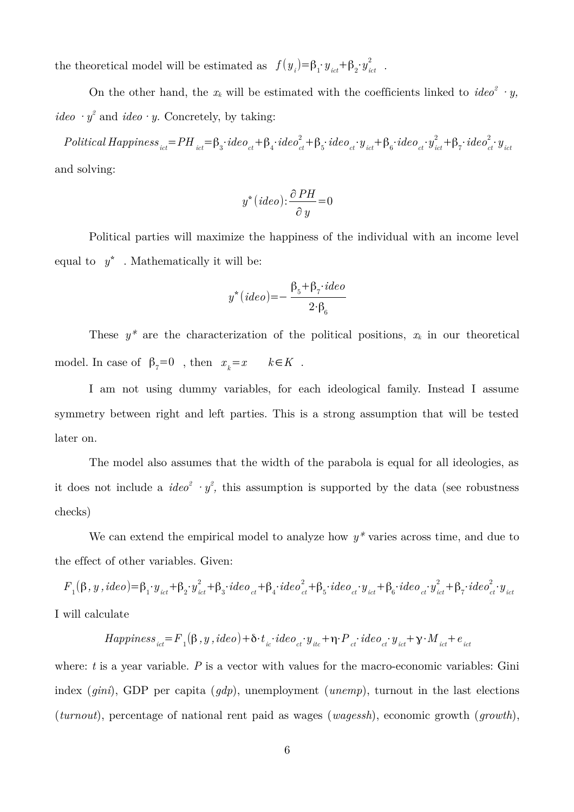the theoretical model will be estimated as  $f(y_i) = \beta_1 \cdot y_{ict} + \beta_2 \cdot y_{ict}^2$  $\frac{2}{ict}$  .

On the other hand, the  $x_k$  will be estimated with the coefficients linked to  $\text{ide}o^2 \cdot y$ , *ideo*  $\cdot y^2$  and *ideo*  $\cdot y$ . Concretely, by taking:

 $\small \textit{Politional Happings}_{ict} \!=\! \textit{PH}_{ict} \!=\! \beta_3 \!\cdot \! ideo_{ct} \!+\! \beta_4 \!\cdot \! ideo_{ct}^2 \!+\! \beta_5 \!\cdot \! ideo_{ct} \!\cdot \! y_{ict} \!+\! \beta_6 \!\cdot \! ideo_{ct} \!\cdot \! y_{ict}^2 \!+\! \beta_7 \!\cdot \! ideo_{ct}^2 \!\cdot \! y_{ict}$ and solving:

$$
y^*(ideo) : \frac{\partial PH}{\partial y} = 0
$$

Political parties will maximize the happiness of the individual with an income level equal to  $y^*$ . Mathematically it will be:

$$
y^*(ideo) = -\frac{\beta_5 + \beta_7 \cdot ideo}{2 \cdot \beta_6}
$$

These  $y^*$  are the characterization of the political positions,  $x_k$  in our theoretical model. In case of  $\beta_7 = 0$ , then  $x_k = x$   $k \in K$ .

I am not using dummy variables, for each ideological family. Instead I assume symmetry between right and left parties. This is a strong assumption that will be tested later on.

The model also assumes that the width of the parabola is equal for all ideologies, as it does not include a  $ideo^2 \cdot y^2$ , this assumption is supported by the data (see robustness checks)

We can extend the empirical model to analyze how  $y^*$  varies across time, and due to the effect of other variables. Given:

 $F_{_{1}}(\beta,y\,,\emph{ideo})=\beta_{1}\cdot y_{_{ict}}+\beta_{2}\cdot y_{_{ict}}^{2}+\beta_{3}\cdot\emph{ideo}_{_{ct}}+\beta_{4}\cdot\emph{ideo}_{_{ct}}^{2}+\beta_{5}\cdot\emph{ideo}_{_{ct}}\cdot y_{_{ict}}+\beta_{6}\cdot\emph{ideo}_{_{ct}}\cdot y_{_{ict}}^{2}+\beta_{7}\cdot\emph{ideo}_{_{ct}}^{2}\cdot y_{_{ict}}$ I will calculate

$$
Happiness_{ict} = F_{1}(\beta, y, ideo) + \delta \cdot t_{ic} \cdot ideo_{ct} \cdot y_{ic} + \eta \cdot P_{ct} \cdot ideo_{ct} \cdot y_{ict} + \gamma \cdot M_{ict} + e_{ict}
$$

where: *t* is a year variable. *P* is a vector with values for the macro-economic variables: Gini index (*gini*), GDP per capita (*gdp*), unemployment (*unemp*), turnout in the last elections (*turnout*), percentage of national rent paid as wages (*wagessh*), economic growth (*growth*),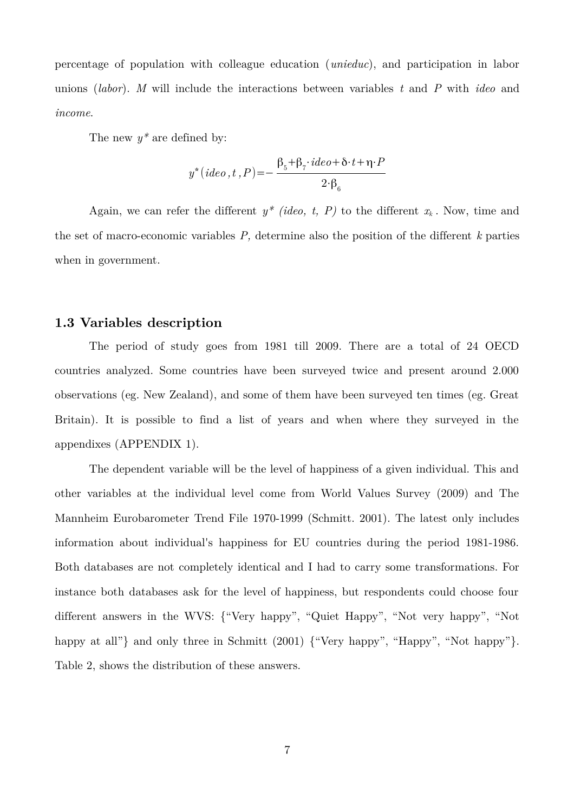percentage of population with colleague education (*unieduc*), and participation in labor unions (*labor*). *M* will include the interactions between variables *t* and *P* with *ideo* and *income*.

The new *y\** are defined by:

$$
y^*(ideo, t, P) = -\frac{\beta_5 + \beta_7 \cdot ideo + \delta \cdot t + \eta \cdot P}{2 \cdot \beta_6}
$$

Again, we can refer the different  $y^*$  *(ideo, t, P)* to the different  $x_k$ . Now, time and the set of macro-economic variables *P,* determine also the position of the different *k* parties when in government.

# **1.3 Variables description**

The period of study goes from 1981 till 2009. There are a total of 24 OECD countries analyzed. Some countries have been surveyed twice and present around 2.000 observations (eg. New Zealand), and some of them have been surveyed ten times (eg. Great Britain). It is possible to find a list of years and when where they surveyed in the appendixes (APPENDIX 1).

The dependent variable will be the level of happiness of a given individual. This and other variables at the individual level come from World Values Survey (2009) and The Mannheim Eurobarometer Trend File 1970-1999 (Schmitt. 2001). The latest only includes information about individual's happiness for EU countries during the period 1981-1986. Both databases are not completely identical and I had to carry some transformations. For instance both databases ask for the level of happiness, but respondents could choose four different answers in the WVS: {"Very happy", "Quiet Happy", "Not very happy", "Not happy at all"} and only three in Schmitt (2001) {"Very happy", "Happy", "Not happy"}. Table 2, shows the distribution of these answers.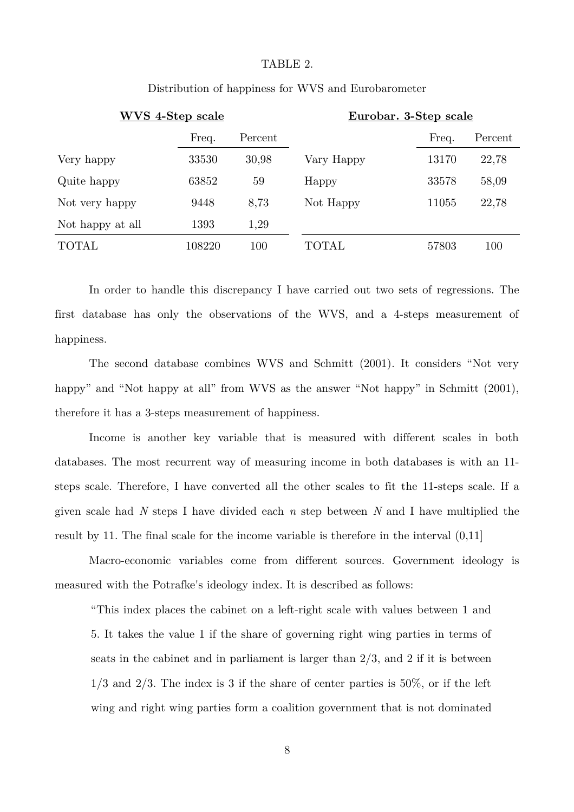#### TABLE 2.

| WVS 4-Step scale |        |         |            | Eurobar. 3-Step scale |         |
|------------------|--------|---------|------------|-----------------------|---------|
|                  | Freq.  | Percent |            | Freq.                 | Percent |
| Very happy       | 33530  | 30,98   | Vary Happy | 13170                 | 22,78   |
| Quite happy      | 63852  | 59      | Happy      | 33578                 | 58,09   |
| Not very happy   | 9448   | 8,73    | Not Happy  | 11055                 | 22,78   |
| Not happy at all | 1393   | 1,29    |            |                       |         |
| <b>TOTAL</b>     | 108220 | 100     | TOTAL      | 57803                 | 100     |

### Distribution of happiness for WVS and Eurobarometer

In order to handle this discrepancy I have carried out two sets of regressions. The first database has only the observations of the WVS, and a 4-steps measurement of happiness.

The second database combines WVS and Schmitt (2001). It considers "Not very happy" and "Not happy at all" from WVS as the answer "Not happy" in Schmitt (2001), therefore it has a 3-steps measurement of happiness.

Income is another key variable that is measured with different scales in both databases. The most recurrent way of measuring income in both databases is with an 11 steps scale. Therefore, I have converted all the other scales to fit the 11-steps scale. If a given scale had *N* steps I have divided each *n* step between *N* and I have multiplied the result by 11. The final scale for the income variable is therefore in the interval (0,11]

Macro-economic variables come from different sources. Government ideology is measured with the Potrafke's ideology index. It is described as follows:

"This index places the cabinet on a left-right scale with values between 1 and 5. It takes the value 1 if the share of governing right wing parties in terms of seats in the cabinet and in parliament is larger than 2/3, and 2 if it is between  $1/3$  and  $2/3$ . The index is 3 if the share of center parties is  $50\%$ , or if the left wing and right wing parties form a coalition government that is not dominated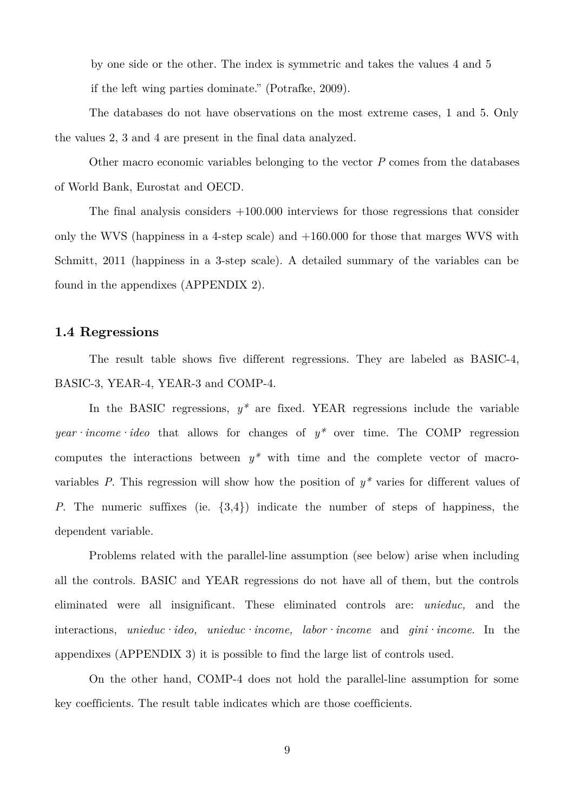by one side or the other. The index is symmetric and takes the values 4 and 5 if the left wing parties dominate." (Potrafke, 2009).

The databases do not have observations on the most extreme cases, 1 and 5. Only the values 2, 3 and 4 are present in the final data analyzed.

Other macro economic variables belonging to the vector *P* comes from the databases of World Bank, Eurostat and OECD.

The final analysis considers +100.000 interviews for those regressions that consider only the WVS (happiness in a 4-step scale) and  $+160.000$  for those that marges WVS with Schmitt, 2011 (happiness in a 3-step scale). A detailed summary of the variables can be found in the appendixes (APPENDIX 2).

### **1.4 Regressions**

The result table shows five different regressions. They are labeled as BASIC-4, BASIC-3, YEAR-4, YEAR-3 and COMP-4.

In the BASIC regressions,  $y^*$  are fixed. YEAR regressions include the variable *year income ideo* that allows for changes of  $y^*$  over time. The COMP regression computes the interactions between *y\** with time and the complete vector of macrovariables *P*. This regression will show how the position of  $y^*$  varies for different values of *P*. The numeric suffixes (ie.  $\{3,4\}$ ) indicate the number of steps of happiness, the dependent variable.

Problems related with the parallel-line assumption (see below) arise when including all the controls. BASIC and YEAR regressions do not have all of them, but the controls eliminated were all insignificant. These eliminated controls are: *unieduc,* and the interactions, *unieduc·ideo, unieduc·income, labor·income* and *gini·income*. In the appendixes (APPENDIX 3) it is possible to find the large list of controls used.

On the other hand, COMP-4 does not hold the parallel-line assumption for some key coefficients. The result table indicates which are those coefficients.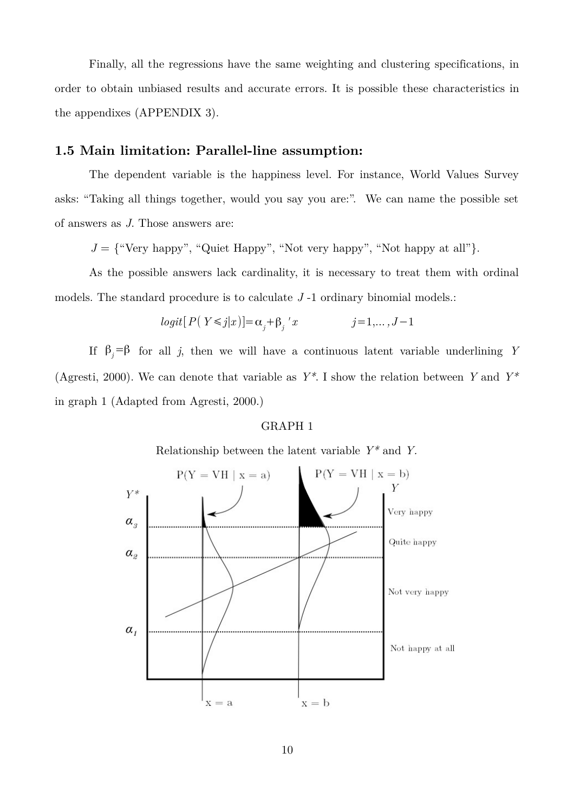Finally, all the regressions have the same weighting and clustering specifications, in order to obtain unbiased results and accurate errors. It is possible these characteristics in the appendixes (APPENDIX 3).

### **1.5 Main limitation: Parallel-line assumption:**

The dependent variable is the happiness level. For instance, World Values Survey asks: "Taking all things together, would you say you are:". We can name the possible set of answers as *J*. Those answers are:

 $J = \{$ "Very happy", "Quiet Happy", "Not very happy", "Not happy at all" $\}$ .

As the possible answers lack cardinality, it is necessary to treat them with ordinal models. The standard procedure is to calculate *J* -1 ordinary binomial models.:

$$
logit[P(Y \le j|x)] = \alpha_j + \beta_j' x \qquad j = 1, \dots, J-1
$$

If  $\beta_i = \beta$  for all *j*, then we will have a continuous latent variable underlining *Y* (Agresti, 2000). We can denote that variable as *Y\**. I show the relation between *Y* and *Y\** in graph 1 (Adapted from Agresti, 2000.)

#### GRAPH 1

Relationship between the latent variable *Y\** and *Y.*

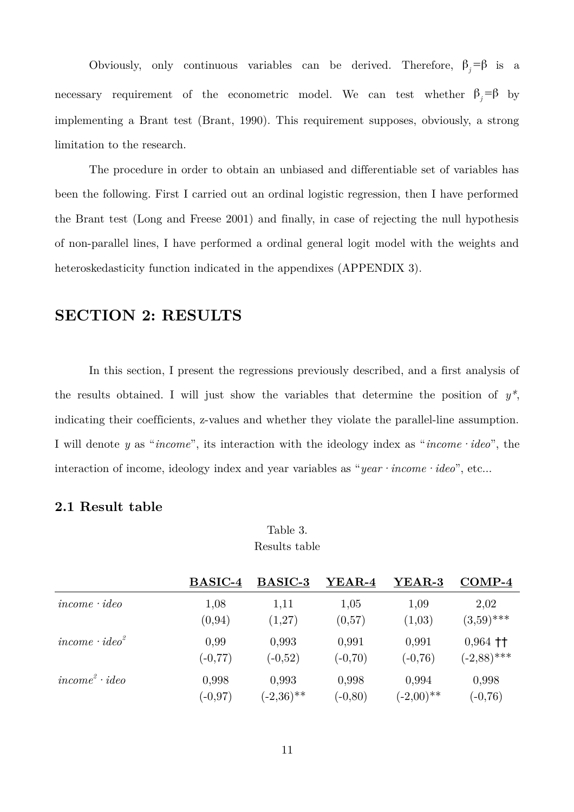Obviously, only continuous variables can be derived. Therefore,  $\beta_i = \beta$  is a necessary requirement of the econometric model. We can test whether  $\beta_i = \beta$  by implementing a Brant test (Brant, 1990). This requirement supposes, obviously, a strong limitation to the research.

The procedure in order to obtain an unbiased and differentiable set of variables has been the following. First I carried out an ordinal logistic regression, then I have performed the Brant test (Long and Freese 2001) and finally, in case of rejecting the null hypothesis of non-parallel lines, I have performed a ordinal general logit model with the weights and heteroskedasticity function indicated in the appendixes (APPENDIX 3).

# **SECTION 2: RESULTS**

In this section, I present the regressions previously described, and a first analysis of the results obtained. I will just show the variables that determine the position of *y\**, indicating their coefficients, z-values and whether they violate the parallel-line assumption. I will denote *y* as "*income*", its interaction with the ideology index as "*income·ideo*", the interaction of income, ideology index and year variables as "*year* · *income* · *ideo*", etc...

# **2.1 Result table**

Table 3. Results table

|                       | <b>BASIC-4</b> | <b>BASIC-3</b> | YEAR-4     | YEAR-3       | $COMP-4$                                |
|-----------------------|----------------|----------------|------------|--------------|-----------------------------------------|
| $income \cdot ideo$   | 1,08           | 1,11           | 1,05       | 1,09         | 2,02                                    |
|                       | (0, 94)        | (1,27)         | (0,57)     | (1,03)       | $(3,59)$ ***                            |
| $income \cdot ideo^2$ | 0,99           | 0,993          | 0,991      | 0,991        | $0,964$ <sup><math>\dagger</math></sup> |
|                       | $(-0, 77)$     | $(-0,52)$      | $(-0,70)$  | $(-0,76)$    | $(-2,88)$ ***                           |
| $income2 \cdot ideo$  | 0,998          | 0,993          | 0,998      | 0,994        | 0,998                                   |
|                       | $(-0.97)$      | $(-2,36)$ **   | $(-0, 80)$ | $(-2,00)$ ** | $(-0, 76)$                              |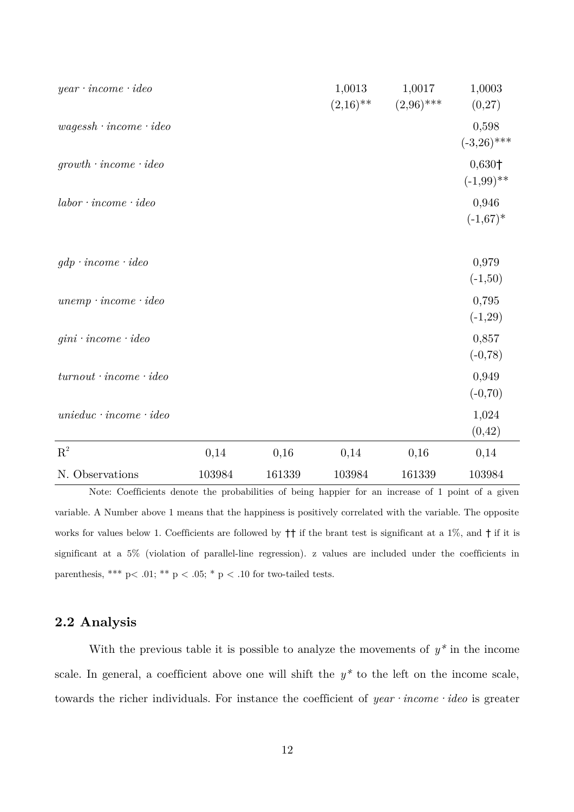| $year \cdot income \cdot ideo$    |        |        | 1,0013<br>$(2,16)$ ** | 1,0017<br>$(2,96)$ *** | 1,0003<br>(0,27)         |
|-----------------------------------|--------|--------|-----------------------|------------------------|--------------------------|
| $wagessh\cdot income\cdotideo$    |        |        |                       |                        | 0,598<br>$(-3,26)$ ***   |
| $growth \cdot income \cdot ideo$  |        |        |                       |                        | $0,630+$<br>$(-1,99)$ ** |
| $labor \cdot income \cdot ideo$   |        |        |                       |                        | 0,946<br>$(-1,67)^*$     |
| $gdp \cdot income \cdot ideo$     |        |        |                       |                        | 0,979<br>$(-1,50)$       |
| $unemp \cdot income \cdot ideo$   |        |        |                       |                        | 0,795<br>$(-1,29)$       |
| $gini \cdot income \cdot ideo$    |        |        |                       |                        | 0,857<br>$(-0, 78)$      |
| $turnout \cdot income \cdot ideo$ |        |        |                       |                        | 0,949<br>$(-0, 70)$      |
| $unieduc \cdot income \cdot ideo$ |        |        |                       |                        | 1,024<br>(0, 42)         |
| ${\bf R}^2$                       | 0,14   | 0,16   | 0,14                  | 0,16                   | 0,14                     |
| N. Observations                   | 103984 | 161339 | 103984                | 161339                 | 103984                   |

Note: Coefficients denote the probabilities of being happier for an increase of 1 point of a given variable. A Number above 1 means that the happiness is positively correlated with the variable. The opposite works for values below 1. Coefficients are followed by  $\dagger\dagger$  if the brant test is significant at a 1%, and  $\dagger$  if it is significant at a 5% (violation of parallel-line regression). z values are included under the coefficients in parenthesis, \*\*\* p< .01; \*\* p < .05; \* p < .10 for two-tailed tests.

# **2.2 Analysis**

With the previous table it is possible to analyze the movements of  $y^*$  in the income scale. In general, a coefficient above one will shift the *y\** to the left on the income scale, towards the richer individuals. For instance the coefficient of *year·income·ideo* is greater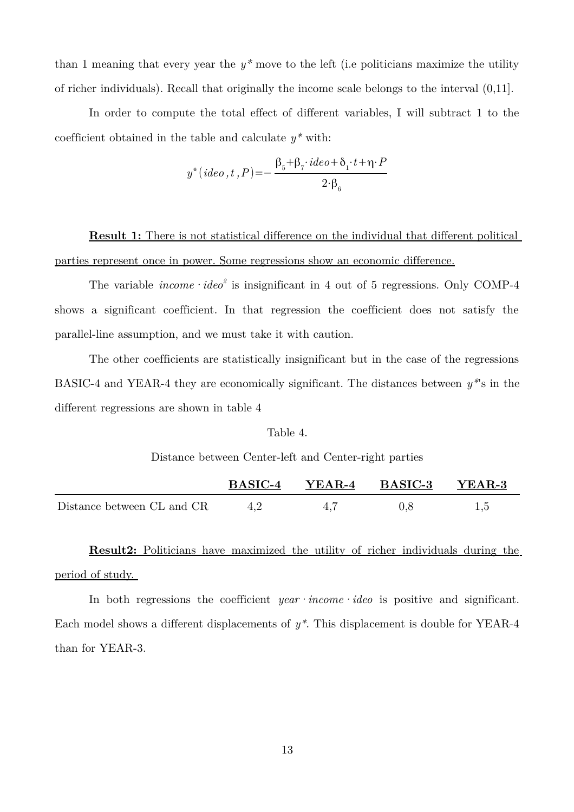than 1 meaning that every year the  $y^*$  move to the left (i.e politicians maximize the utility of richer individuals). Recall that originally the income scale belongs to the interval (0,11].

In order to compute the total effect of different variables, I will subtract 1 to the coefficient obtained in the table and calculate  $y^*$  with:

$$
y^*(ideo, t, P) = -\frac{\beta_5 + \beta_7 \cdot ideo + \delta_1 \cdot t + \eta \cdot P}{2 \cdot \beta_6}
$$

 **Result 1:** There is not statistical difference on the individual that different political parties represent once in power. Some regressions show an economic difference.

The variable  $income \cdot ideo^2$  is insignificant in 4 out of 5 regressions. Only COMP-4 shows a significant coefficient. In that regression the coefficient does not satisfy the parallel-line assumption, and we must take it with caution.

The other coefficients are statistically insignificant but in the case of the regressions BASIC-4 and YEAR-4 they are economically significant. The distances between *y\**'s in the different regressions are shown in table 4

#### Table 4.

Distance between Center-left and Center-right parties

|                            | <b>BASIC-4</b> | $YEAR-4$ | $\rm\,BASIC\text{-}3$ | YEAR-3 |
|----------------------------|----------------|----------|-----------------------|--------|
| Distance between CL and CR | 4.2            | 4.1      |                       |        |

 **Result2:** Politicians have maximized the utility of richer individuals during the period of study.

In both regressions the coefficient *year income ideo* is positive and significant. Each model shows a different displacements of *y\**. This displacement is double for YEAR-4 than for YEAR-3.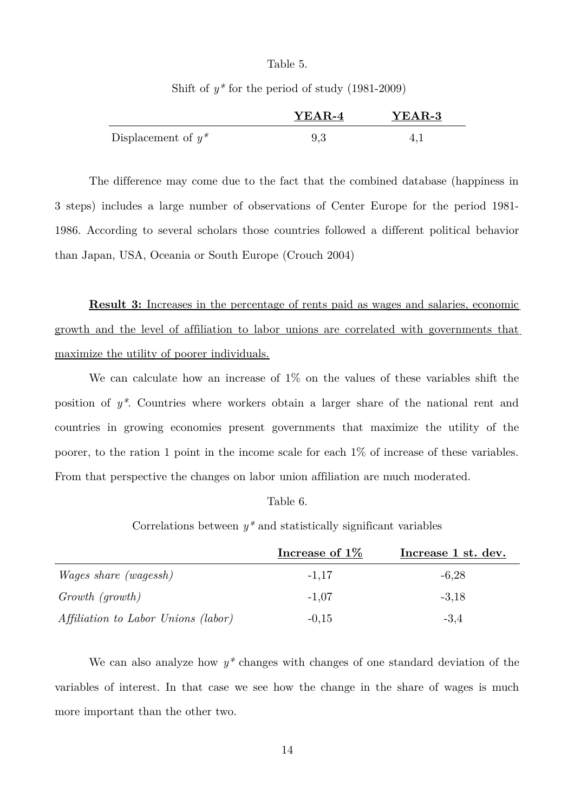#### Table 5.

Shift of *y\** for the period of study (1981-2009)

|                       | YEAR-4 | <b>YEAR-3</b> |
|-----------------------|--------|---------------|
| Displacement of $y^*$ |        |               |

The difference may come due to the fact that the combined database (happiness in 3 steps) includes a large number of observations of Center Europe for the period 1981- 1986. According to several scholars those countries followed a different political behavior than Japan, USA, Oceania or South Europe (Crouch 2004)

 **Result 3:** Increases in the percentage of rents paid as wages and salaries, economic growth and the level of affiliation to labor unions are correlated with governments that maximize the utility of poorer individuals.

We can calculate how an increase of 1% on the values of these variables shift the position of *y\**. Countries where workers obtain a larger share of the national rent and countries in growing economies present governments that maximize the utility of the poorer, to the ration 1 point in the income scale for each 1% of increase of these variables. From that perspective the changes on labor union affiliation are much moderated.

#### Table 6.

Correlations between *y\** and statistically significant variables

|                                     | Increase of $1\%$ | Increase 1 st. dev. |
|-------------------------------------|-------------------|---------------------|
| <i>Wages share (wagessh)</i>        | $-1,17$           | $-6,28$             |
| Growth (growth)                     | $-1,07$           | $-3,18$             |
| Affiliation to Labor Unions (labor) | $-0.15$           | $-3,4$              |

We can also analyze how  $y^*$  changes with changes of one standard deviation of the variables of interest. In that case we see how the change in the share of wages is much more important than the other two.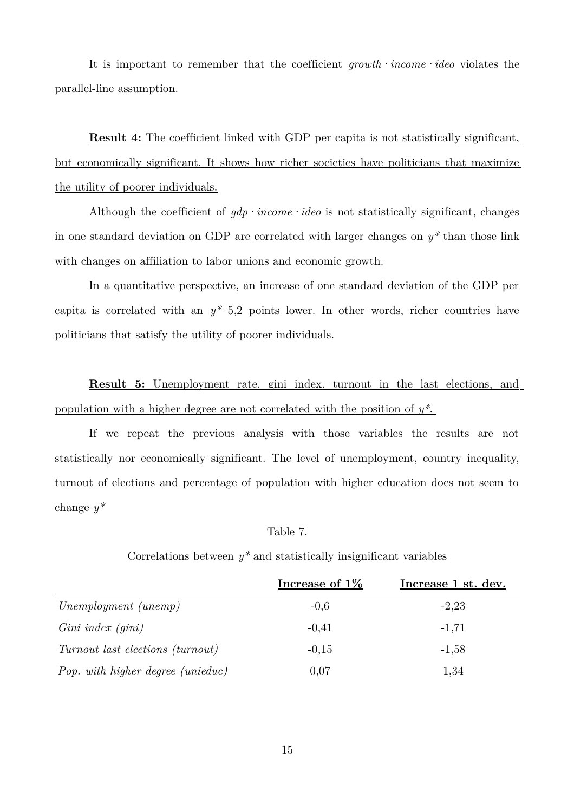It is important to remember that the coefficient *growth·income·ideo* violates the parallel-line assumption.

**Result 4:** The coefficient linked with GDP per capita is not statistically significant, but economically significant. It shows how richer societies have politicians that maximize the utility of poorer individuals.

Although the coefficient of  $qdp$  *income ·ideo* is not statistically significant, changes in one standard deviation on GDP are correlated with larger changes on *y\** than those link with changes on affiliation to labor unions and economic growth.

In a quantitative perspective, an increase of one standard deviation of the GDP per capita is correlated with an  $y^*$  5,2 points lower. In other words, richer countries have politicians that satisfy the utility of poorer individuals.

 **Result 5:** Unemployment rate, gini index, turnout in the last elections, and population with a higher degree are not correlated with the position of *y\** .

If we repeat the previous analysis with those variables the results are not statistically nor economically significant. The level of unemployment, country inequality, turnout of elections and percentage of population with higher education does not seem to change *y\**

#### Table 7.

Correlations between  $y^*$  and statistically insignificant variables

|                                   | Increase of $1\%$ | Increase 1 st. dev. |
|-----------------------------------|-------------------|---------------------|
| Unemployment (unemp)              | $-0,6$            | $-2,23$             |
| $Gini\ index\ (gini)$             | $-0.41$           | $-1,71$             |
| Turnout last elections (turnout)  | $-0.15$           | $-1,58$             |
| Pop. with higher degree (unieduc) | 0,07              | 1,34                |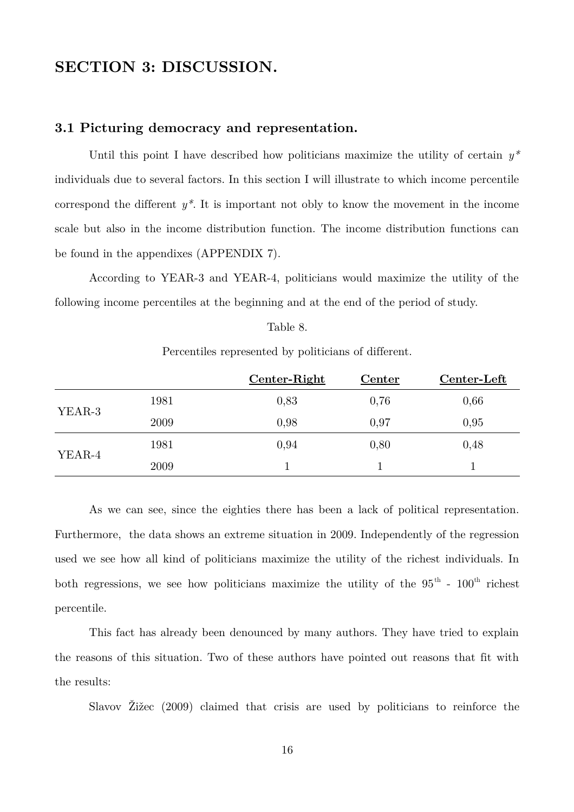# **SECTION 3: DISCUSSION.**

### **3.1 Picturing democracy and representation.**

Until this point I have described how politicians maximize the utility of certain *y\** individuals due to several factors. In this section I will illustrate to which income percentile correspond the different *y\**. It is important not obly to know the movement in the income scale but also in the income distribution function. The income distribution functions can be found in the appendixes (APPENDIX 7).

According to YEAR-3 and YEAR-4, politicians would maximize the utility of the following income percentiles at the beginning and at the end of the period of study.

#### Table 8.

Percentiles represented by politicians of different.

|        |      | Center-Right | Center | Center-Left |
|--------|------|--------------|--------|-------------|
|        | 1981 | 0,83         | 0,76   | 0,66        |
| YEAR-3 | 2009 | 0,98         | 0,97   | 0,95        |
|        | 1981 | 0,94         | 0,80   | 0,48        |
| YEAR-4 | 2009 |              |        |             |

As we can see, since the eighties there has been a lack of political representation. Furthermore, the data shows an extreme situation in 2009. Independently of the regression used we see how all kind of politicians maximize the utility of the richest individuals. In both regressions, we see how politicians maximize the utility of the  $95<sup>th</sup>$  -  $100<sup>th</sup>$  richest percentile.

This fact has already been denounced by many authors. They have tried to explain the reasons of this situation. Two of these authors have pointed out reasons that fit with the results:

Slavov Žižec (2009) claimed that crisis are used by politicians to reinforce the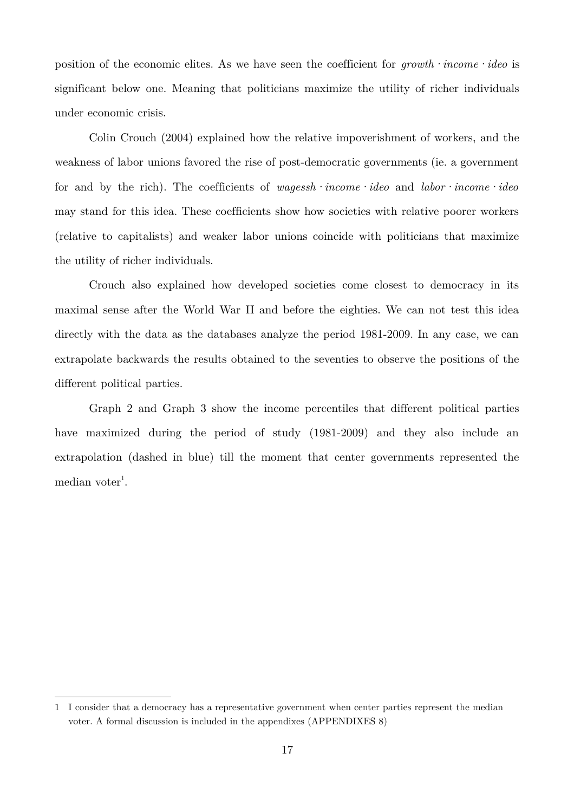position of the economic elites. As we have seen the coefficient for *growth·income·ideo* is significant below one. Meaning that politicians maximize the utility of richer individuals under economic crisis.

Colin Crouch (2004) explained how the relative impoverishment of workers, and the weakness of labor unions favored the rise of post-democratic governments (ie. a government for and by the rich). The coefficients of *wagessh·income·ideo* and *labor·income·ideo* may stand for this idea. These coefficients show how societies with relative poorer workers (relative to capitalists) and weaker labor unions coincide with politicians that maximize the utility of richer individuals.

Crouch also explained how developed societies come closest to democracy in its maximal sense after the World War II and before the eighties. We can not test this idea directly with the data as the databases analyze the period 1981-2009. In any case, we can extrapolate backwards the results obtained to the seventies to observe the positions of the different political parties.

Graph 2 and Graph 3 show the income percentiles that different political parties have maximized during the period of study (1981-2009) and they also include an extrapolation (dashed in blue) till the moment that center governments represented the  $median\,voter<sup>1</sup>.$  $median\,voter<sup>1</sup>.$  $median\,voter<sup>1</sup>.$ 

<span id="page-16-0"></span><sup>1</sup> I consider that a democracy has a representative government when center parties represent the median voter. A formal discussion is included in the appendixes (APPENDIXES 8)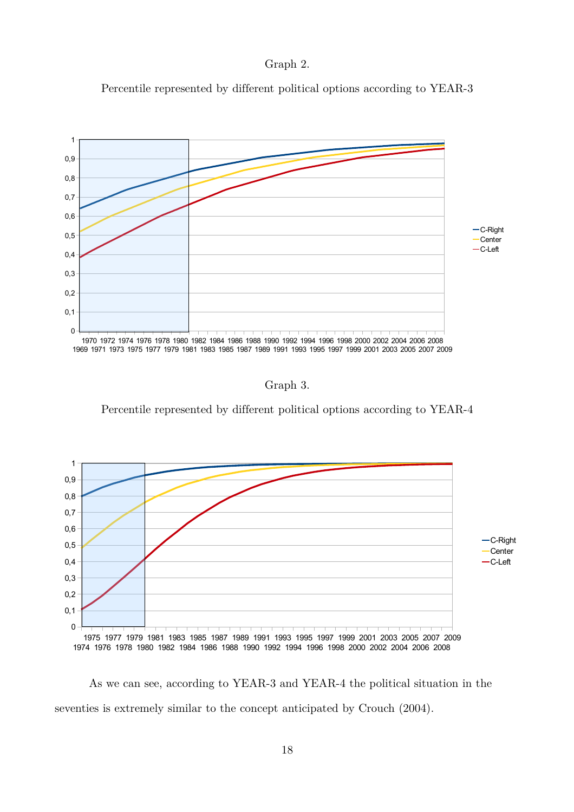

Percentile represented by different political options according to YEAR-3



Graph 3.

Percentile represented by different political options according to YEAR-4



As we can see, according to YEAR-3 and YEAR-4 the political situation in the seventies is extremely similar to the concept anticipated by Crouch (2004).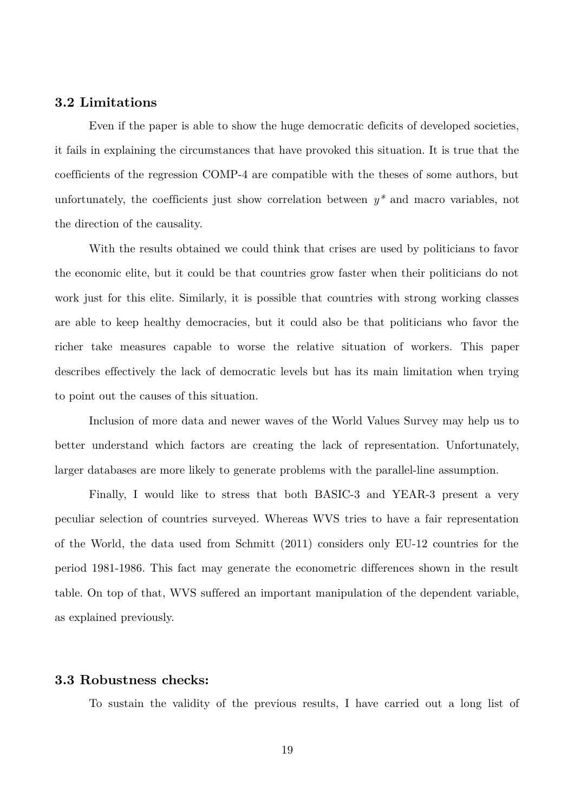### **3.2 Limitations**

Even if the paper is able to show the huge democratic deficits of developed societies, it fails in explaining the circumstances that have provoked this situation. It is true that the coefficients of the regression COMP-4 are compatible with the theses of some authors, but unfortunately, the coefficients just show correlation between *y\** and macro variables, not the direction of the causality.

With the results obtained we could think that crises are used by politicians to favor the economic elite, but it could be that countries grow faster when their politicians do not work just for this elite. Similarly, it is possible that countries with strong working classes are able to keep healthy democracies, but it could also be that politicians who favor the richer take measures capable to worse the relative situation of workers. This paper describes effectively the lack of democratic levels but has its main limitation when trying to point out the causes of this situation.

Inclusion of more data and newer waves of the World Values Survey may help us to better understand which factors are creating the lack of representation. Unfortunately, larger databases are more likely to generate problems with the parallel-line assumption.

Finally, I would like to stress that both BASIC-3 and YEAR-3 present a very peculiar selection of countries surveyed. Whereas WVS tries to have a fair representation of the World, the data used from Schmitt (2011) considers only EU-12 countries for the period 1981-1986. This fact may generate the econometric differences shown in the result table. On top of that, WVS suffered an important manipulation of the dependent variable, as explained previously.

### **3.3 Robustness checks:**

To sustain the validity of the previous results, I have carried out a long list of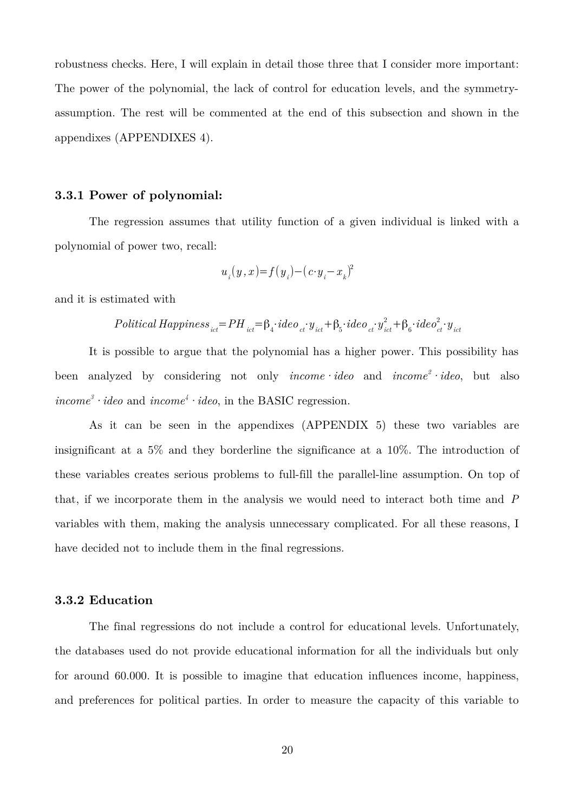robustness checks. Here, I will explain in detail those three that I consider more important: The power of the polynomial, the lack of control for education levels, and the symmetryassumption. The rest will be commented at the end of this subsection and shown in the appendixes (APPENDIXES 4).

#### **3.3.1 Power of polynomial:**

The regression assumes that utility function of a given individual is linked with a polynomial of power two, recall:

$$
u_{_i}(y\,,x)\!\!=\!\!f\!\left(y_{_i}\right)\!\!-\!\left(\,c\!\cdot\!y_{_i}\!\!-\!x_{_k}\right)^{\!2}
$$

and it is estimated with

$$
Political \; Happiness_{ict} = PH_{ict} = \beta_4 \cdot ide \, o_{ct} \cdot y_{ict} + \beta_5 \cdot ide \, o_{ct} \cdot y_{ict}^2 + \beta_6 \cdot ide \, o_{ct}^2 \cdot y_{ict}
$$

It is possible to argue that the polynomial has a higher power. This possibility has been analyzed by considering not only *income·ideo* and *income<sup>2</sup>·ideo*, but also *income*<sup>3</sup> · *ideo* and *income*<sup> $4$ </sup> · *ideo*, in the BASIC regression.

As it can be seen in the appendixes (APPENDIX 5) these two variables are insignificant at a 5% and they borderline the significance at a 10%. The introduction of these variables creates serious problems to full-fill the parallel-line assumption. On top of that, if we incorporate them in the analysis we would need to interact both time and *P* variables with them, making the analysis unnecessary complicated. For all these reasons, I have decided not to include them in the final regressions.

### **3.3.2 Education**

The final regressions do not include a control for educational levels. Unfortunately, the databases used do not provide educational information for all the individuals but only for around 60.000. It is possible to imagine that education influences income, happiness, and preferences for political parties. In order to measure the capacity of this variable to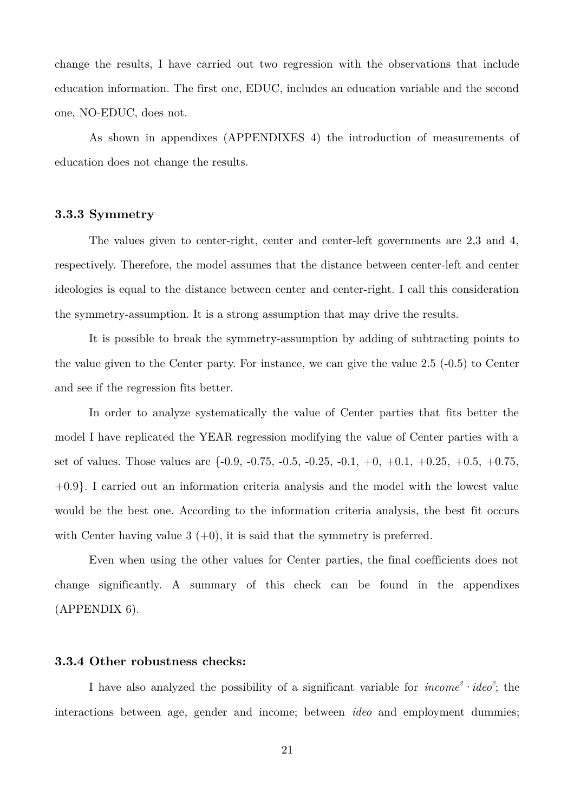change the results, I have carried out two regression with the observations that include education information. The first one, EDUC, includes an education variable and the second one, NO-EDUC, does not.

As shown in appendixes (APPENDIXES 4) the introduction of measurements of education does not change the results.

#### **3.3.3 Symmetry**

The values given to center-right, center and center-left governments are 2,3 and 4, respectively. Therefore, the model assumes that the distance between center-left and center ideologies is equal to the distance between center and center-right. I call this consideration the symmetry-assumption. It is a strong assumption that may drive the results.

It is possible to break the symmetry-assumption by adding of subtracting points to the value given to the Center party. For instance, we can give the value 2.5 (-0.5) to Center and see if the regression fits better.

In order to analyze systematically the value of Center parties that fits better the model I have replicated the YEAR regression modifying the value of Center parties with a set of values. Those values are  $\{-0.9, -0.75, -0.5, -0.25, -0.1, +0, +0.1, +0.25, +0.5, +0.75,$ +0.9}. I carried out an information criteria analysis and the model with the lowest value would be the best one. According to the information criteria analysis, the best fit occurs with Center having value  $3 (+0)$ , it is said that the symmetry is preferred.

Even when using the other values for Center parties, the final coefficients does not change significantly. A summary of this check can be found in the appendixes (APPENDIX 6).

#### **3.3.4 Other robustness checks:**

I have also analyzed the possibility of a significant variable for  $income^2 \cdot ideo^2$ ; the interactions between age, gender and income; between *ideo* and employment dummies;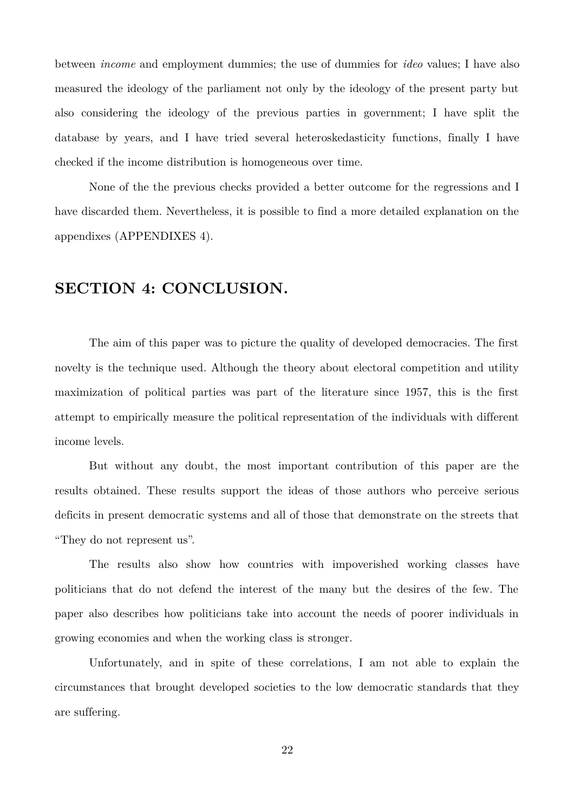between *income* and employment dummies; the use of dummies for *ideo* values; I have also measured the ideology of the parliament not only by the ideology of the present party but also considering the ideology of the previous parties in government; I have split the database by years, and I have tried several heteroskedasticity functions, finally I have checked if the income distribution is homogeneous over time.

None of the the previous checks provided a better outcome for the regressions and I have discarded them. Nevertheless, it is possible to find a more detailed explanation on the appendixes (APPENDIXES 4).

# **SECTION 4: CONCLUSION.**

The aim of this paper was to picture the quality of developed democracies. The first novelty is the technique used. Although the theory about electoral competition and utility maximization of political parties was part of the literature since 1957, this is the first attempt to empirically measure the political representation of the individuals with different income levels.

But without any doubt, the most important contribution of this paper are the results obtained. These results support the ideas of those authors who perceive serious deficits in present democratic systems and all of those that demonstrate on the streets that "They do not represent us".

The results also show how countries with impoverished working classes have politicians that do not defend the interest of the many but the desires of the few. The paper also describes how politicians take into account the needs of poorer individuals in growing economies and when the working class is stronger.

Unfortunately, and in spite of these correlations, I am not able to explain the circumstances that brought developed societies to the low democratic standards that they are suffering.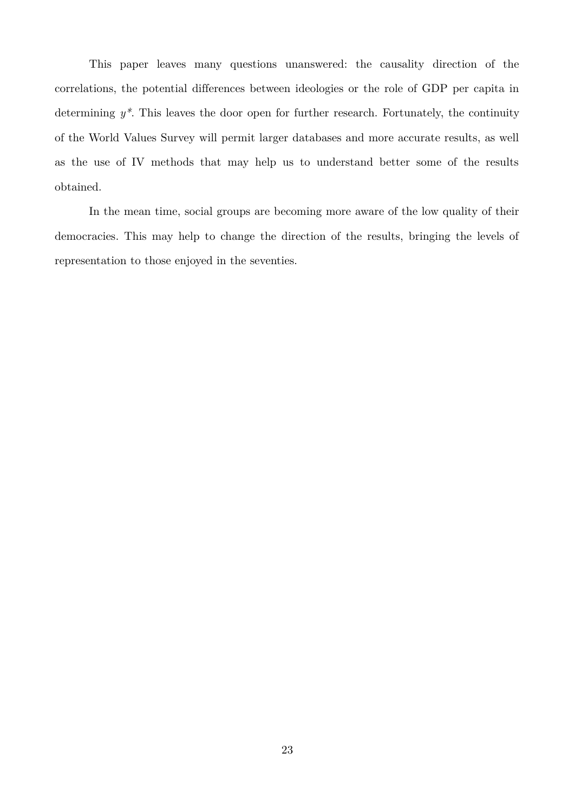This paper leaves many questions unanswered: the causality direction of the correlations, the potential differences between ideologies or the role of GDP per capita in determining *y\**. This leaves the door open for further research. Fortunately, the continuity of the World Values Survey will permit larger databases and more accurate results, as well as the use of IV methods that may help us to understand better some of the results obtained.

In the mean time, social groups are becoming more aware of the low quality of their democracies. This may help to change the direction of the results, bringing the levels of representation to those enjoyed in the seventies.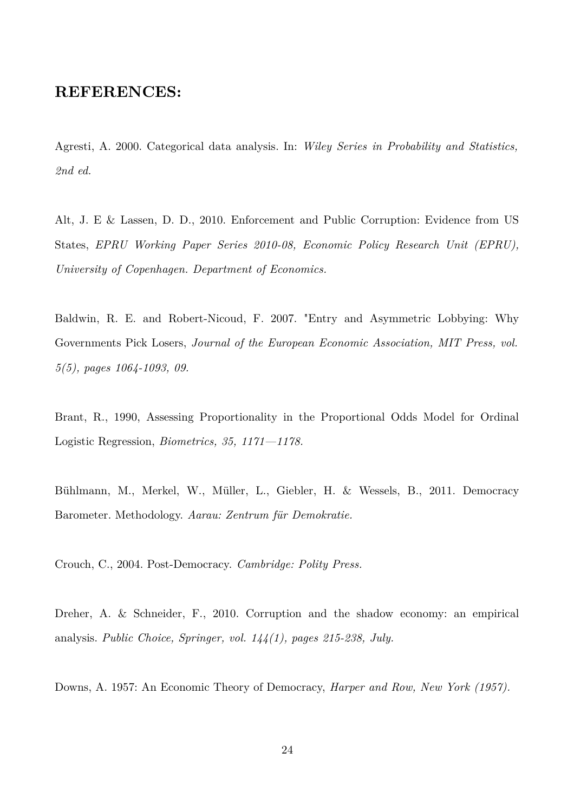# **REFERENCES:**

Agresti, A. 2000. Categorical data analysis. In: *Wiley Series in Probability and Statistics, 2nd ed.*

Alt, J. E & Lassen, D. D., 2010. Enforcement and Public Corruption: Evidence from US States, *EPRU Working Paper Series 2010-08, Economic Policy Research Unit (EPRU), University of Copenhagen. Department of Economics.*

Baldwin, R. E. and Robert-Nicoud, F. 2007. "Entry and Asymmetric Lobbying: Why Governments Pick Losers, *Journal of the European Economic Association, MIT Press, vol. 5(5), pages 1064-1093, 09.*

Brant, R., 1990, Assessing Proportionality in the Proportional Odds Model for Ordinal Logistic Regression, *Biometrics, 35, 1171—1178.*

Bühlmann, M., Merkel, W., Müller, L., Giebler, H. & Wessels, B., 2011. Democracy Barometer. Methodology. *Aarau: Zentrum für Demokratie.*

Crouch, C., 2004. Post-Democracy. *Cambridge: Polity Press.*

Dreher, A. & Schneider, F., 2010. Corruption and the shadow economy: an empirical analysis. *Public Choice, Springer, vol. 144(1), pages 215-238, July.*

Downs, A. 1957: An Economic Theory of Democracy, *Harper and Row, New York (1957).*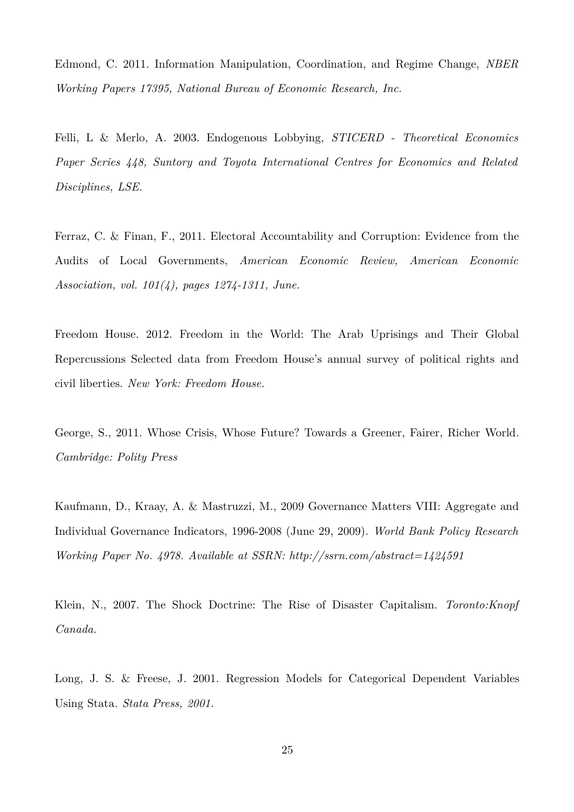Edmond, C. 2011. Information Manipulation, Coordination, and Regime Change, *NBER Working Papers 17395, National Bureau of Economic Research, Inc.*

Felli, L & Merlo, A. 2003. Endogenous Lobbying, *STICERD - Theoretical Economics Paper Series 448, Suntory and Toyota International Centres for Economics and Related Disciplines, LSE.*

Ferraz, C. & Finan, F., 2011. Electoral Accountability and Corruption: Evidence from the Audits of Local Governments, *American Economic Review, American Economic Association, vol. 101(4), pages 1274-1311, June.*

Freedom House. 2012. Freedom in the World: The Arab Uprisings and Their Global Repercussions Selected data from Freedom House's annual survey of political rights and civil liberties. *New York: Freedom House.*

George, S., 2011. Whose Crisis, Whose Future? Towards a Greener, Fairer, Richer World. *Cambridge: Polity Press*

Kaufmann, D., Kraay, A. & Mastruzzi, M., 2009 Governance Matters VIII: Aggregate and Individual Governance Indicators, 1996-2008 (June 29, 2009). *World Bank Policy Research Working Paper No. 4978. Available at SSRN: http://ssrn.com/abstract=1424591* 

Klein, N., 2007. The Shock Doctrine: The Rise of Disaster Capitalism. *Toronto:Knopf Canada.*

Long, J. S. & Freese, J. 2001. Regression Models for Categorical Dependent Variables Using Stata*. Stata Press, 2001.*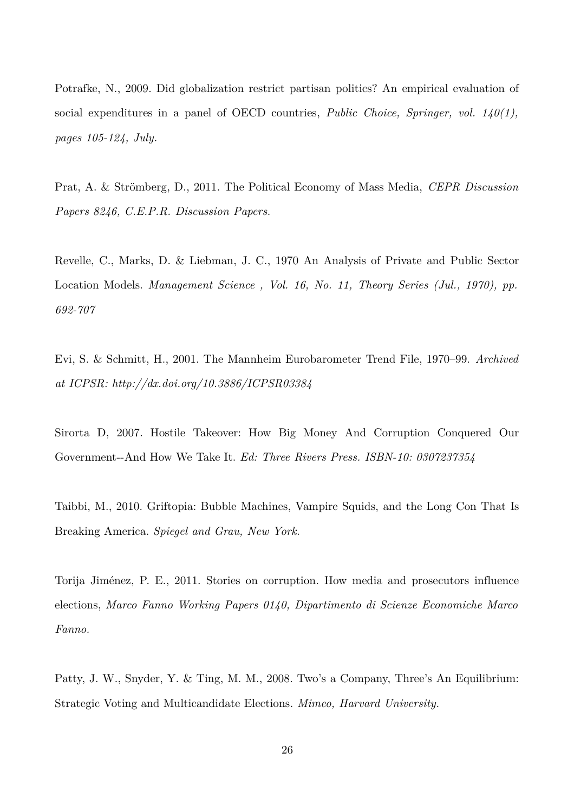Potrafke, N., 2009. Did globalization restrict partisan politics? An empirical evaluation of social expenditures in a panel of OECD countries, *Public Choice, Springer, vol. 140(1), pages 105-124, July.*

Prat, A. & Strömberg, D., 2011. The Political Economy of Mass Media, *CEPR Discussion Papers 8246, C.E.P.R. Discussion Papers.*

Revelle, C., Marks, D. & Liebman, J. C., 1970 An Analysis of Private and Public Sector Location Models. *Management Science , Vol. 16, No. 11, Theory Series (Jul., 1970), pp. 692-707* 

Evi, S. & Schmitt, H., 2001. The Mannheim Eurobarometer Trend File, 1970–99. *Archived at ICPSR: http://dx.doi.org/10.3886/ICPSR03384*

Sirorta D, 2007. Hostile Takeover: How Big Money And Corruption Conquered Our Government--And How We Take It. *Ed: Three Rivers Press. ISBN-10: 0307237354* 

Taibbi, M., 2010. Griftopia: Bubble Machines, Vampire Squids, and the Long Con That Is Breaking America. *Spiegel and Grau, New York.*

Torija Jiménez, P. E., 2011. Stories on corruption. How media and prosecutors influence elections, *Marco Fanno Working Papers 0140, Dipartimento di Scienze Economiche Marco Fanno.*

Patty, J. W., Snyder, Y. & Ting, M. M., 2008. Two's a Company, Three's An Equilibrium: Strategic Voting and Multicandidate Elections. *Mimeo, Harvard University.*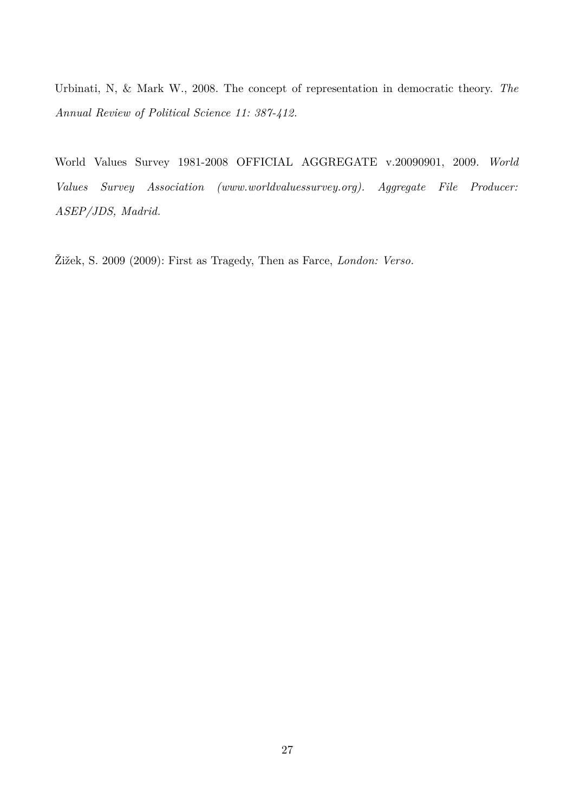Urbinati, N, & Mark W., 2008. The concept of representation in democratic theory. *The Annual Review of Political Science 11: 387-412.*

World Values Survey 1981-2008 OFFICIAL AGGREGATE v.20090901, 2009. *World Values Survey Association (www.worldvaluessurvey.org). Aggregate File Producer: ASEP/JDS, Madrid.*

Žižek, S. 2009 (2009): First as Tragedy, Then as Farce, *London: Verso.*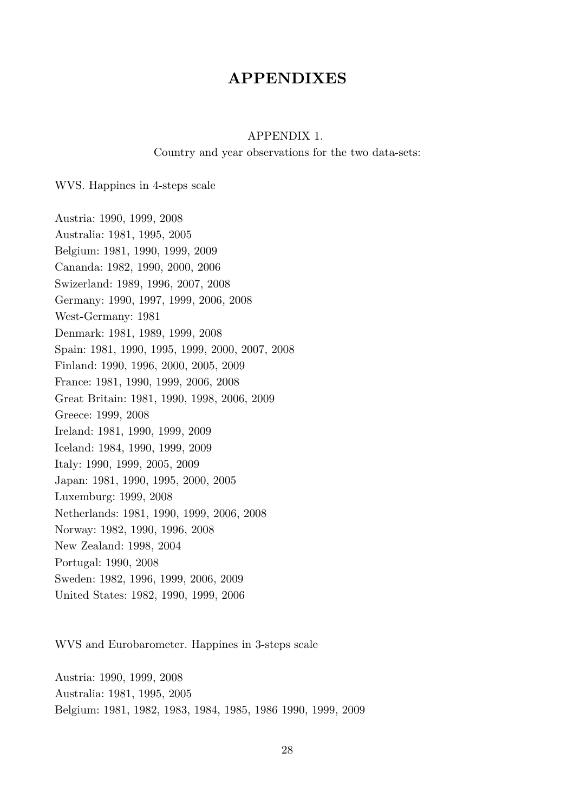# **APPENDIXES**

#### APPENDIX 1.

Country and year observations for the two data-sets:

WVS. Happines in 4-steps scale

Austria: 1990, 1999, 2008 Australia: 1981, 1995, 2005 Belgium: 1981, 1990, 1999, 2009 Cananda: 1982, 1990, 2000, 2006 Swizerland: 1989, 1996, 2007, 2008 Germany: 1990, 1997, 1999, 2006, 2008 West-Germany: 1981 Denmark: 1981, 1989, 1999, 2008 Spain: 1981, 1990, 1995, 1999, 2000, 2007, 2008 Finland: 1990, 1996, 2000, 2005, 2009 France: 1981, 1990, 1999, 2006, 2008 Great Britain: 1981, 1990, 1998, 2006, 2009 Greece: 1999, 2008 Ireland: 1981, 1990, 1999, 2009 Iceland: 1984, 1990, 1999, 2009 Italy: 1990, 1999, 2005, 2009 Japan: 1981, 1990, 1995, 2000, 2005 Luxemburg: 1999, 2008 Netherlands: 1981, 1990, 1999, 2006, 2008 Norway: 1982, 1990, 1996, 2008 New Zealand: 1998, 2004 Portugal: 1990, 2008 Sweden: 1982, 1996, 1999, 2006, 2009 United States: 1982, 1990, 1999, 2006

WVS and Eurobarometer. Happines in 3-steps scale

Austria: 1990, 1999, 2008 Australia: 1981, 1995, 2005 Belgium: 1981, 1982, 1983, 1984, 1985, 1986 1990, 1999, 2009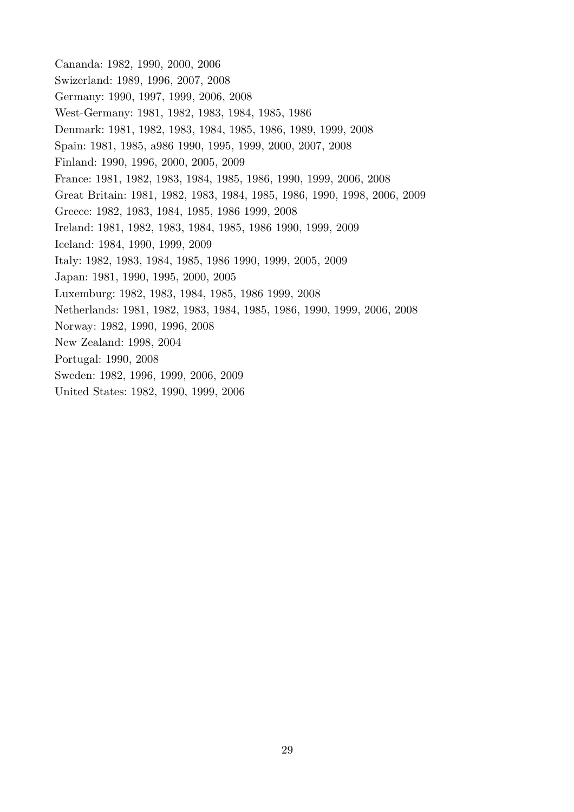Cananda: 1982, 1990, 2000, 2006 Swizerland: 1989, 1996, 2007, 2008 Germany: 1990, 1997, 1999, 2006, 2008 West-Germany: 1981, 1982, 1983, 1984, 1985, 1986 Denmark: 1981, 1982, 1983, 1984, 1985, 1986, 1989, 1999, 2008 Spain: 1981, 1985, a986 1990, 1995, 1999, 2000, 2007, 2008 Finland: 1990, 1996, 2000, 2005, 2009 France: 1981, 1982, 1983, 1984, 1985, 1986, 1990, 1999, 2006, 2008 Great Britain: 1981, 1982, 1983, 1984, 1985, 1986, 1990, 1998, 2006, 2009 Greece: 1982, 1983, 1984, 1985, 1986 1999, 2008 Ireland: 1981, 1982, 1983, 1984, 1985, 1986 1990, 1999, 2009 Iceland: 1984, 1990, 1999, 2009 Italy: 1982, 1983, 1984, 1985, 1986 1990, 1999, 2005, 2009 Japan: 1981, 1990, 1995, 2000, 2005 Luxemburg: 1982, 1983, 1984, 1985, 1986 1999, 2008 Netherlands: 1981, 1982, 1983, 1984, 1985, 1986, 1990, 1999, 2006, 2008 Norway: 1982, 1990, 1996, 2008 New Zealand: 1998, 2004 Portugal: 1990, 2008 Sweden: 1982, 1996, 1999, 2006, 2009 United States: 1982, 1990, 1999, 2006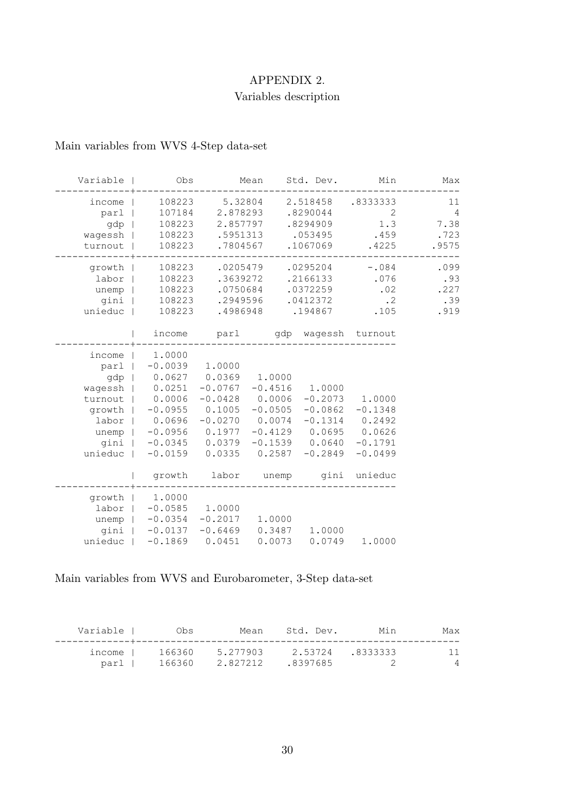# APPENDIX 2.

# Variables description

# Main variables from WVS 4-Step data-set

| Max                                           | Min                                                                               | Std. Dev.                                                                                            |                                                                         | Mean                                                                       | Obs                                                                                                                                                                                                       | Variable                                              |
|-----------------------------------------------|-----------------------------------------------------------------------------------|------------------------------------------------------------------------------------------------------|-------------------------------------------------------------------------|----------------------------------------------------------------------------|-----------------------------------------------------------------------------------------------------------------------------------------------------------------------------------------------------------|-------------------------------------------------------|
| 11<br>$\overline{4}$<br>7.38<br>.723<br>.9575 | .8333333<br>2<br>1.3<br>.459<br>.4225                                             | 2.518458<br>.8290044<br>.8294909<br>.053495<br>.1067069                                              |                                                                         | 5.32804<br>2.878293<br>2.857797<br>.5951313<br>.7804567                    | 108223<br>107184<br>108223<br>108223<br>108223                                                                                                                                                            | income<br>parl  <br>gdp  <br>wagessh  <br>turnout     |
| .099<br>.93<br>.227<br>.39<br>.919            | $-.084$<br>.076<br>.02<br>$\cdot$ 2<br>.105                                       | .0295204<br>.2166133<br>.0372259<br>.0412372<br>.194867                                              |                                                                         | .0205479<br>.3639272<br>.0750684<br>.2949596<br>.4986948                   | 108223<br>108223<br>108223<br>108223<br>108223                                                                                                                                                            | growth  <br>$labor$  <br>unemp  <br>gini  <br>unieduc |
|                                               |                                                                                   | parl 9dp wagessh turnout                                                                             |                                                                         |                                                                            | income                                                                                                                                                                                                    |                                                       |
|                                               | 1.0000<br>$-0.1348$<br>0.2492<br>0.0626<br>$-0.1791$<br>$-0.0499$<br>gini unieduc | 1.0000<br>$-0.2073$<br>$-0.0862$<br>$-0.1314$<br>$-0.4129$ 0.0695<br>$-0.1539$ $0.0640$<br>$-0.2849$ | 1.0000<br>$-0.4516$<br>0.0006<br>$-0.0505$<br>0.0074<br>0.2587<br>unemp | 0.0369<br>$-0.0767$<br>$-0.0428$<br>0.1005<br>$-0.0270$<br>0.0335<br>labor | 1.0000<br>parl   -0.0039 1.0000<br>gdp   0.0627<br>wagessh $  0.0251$<br>turnout   0.0006<br>growth   -0.0955<br>labor   0.0696<br>unemp   -0.0956 0.1977<br>qini   -0.0345 0.0379<br>$-0.0159$<br>growth | income  <br>unieduc                                   |
|                                               | 1.0000                                                                            | 0.0749                                                                                               | 1.0000<br>0.0073                                                        | 1.0000<br>gini   -0.0137 -0.6469 0.3487 1.0000<br>0.0451                   | growth   1.0000<br>labor   -0.0585<br>unemp $ -0.0354 -0.2017$<br>$-0.1869$                                                                                                                               | unieduc                                               |

Main variables from WVS and Eurobarometer, 3-Step data-set

| Variable | 0bs.   | Mean     | Std. Dev. | Min             | Max            |
|----------|--------|----------|-----------|-----------------|----------------|
|          |        |          |           |                 |                |
| income l | 166360 | 5.277903 |           | 2.53724.8333333 |                |
| parl I   | 166360 | 2.827212 | .8397685  |                 | $\overline{4}$ |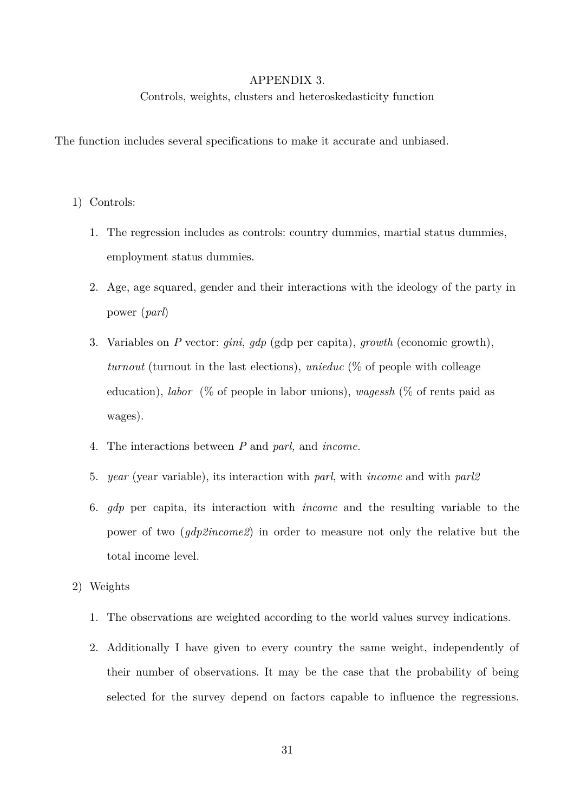#### APPENDIX 3.

Controls, weights, clusters and heteroskedasticity function

The function includes several specifications to make it accurate and unbiased.

- 1) Controls:
	- 1. The regression includes as controls: country dummies, martial status dummies, employment status dummies.
	- 2. Age, age squared, gender and their interactions with the ideology of the party in power (*parl*)
	- 3. Variables on *P* vector: *gini*, *gdp* (gdp per capita), *growth* (economic growth), *turnout* (turnout in the last elections), *unieduc* (% of people with colleage education), *labor* (% of people in labor unions), *wagessh* (% of rents paid as wages).
	- 4. The interactions between *P* and *parl,* and *income.*
	- 5. *year* (year variable), its interaction with *parl*, with *income* and with *parl2*
	- 6. *gdp* per capita, its interaction with *income* and the resulting variable to the power of two (*gdp2income2*) in order to measure not only the relative but the total income level.
- 2) Weights
	- 1. The observations are weighted according to the world values survey indications.
	- 2. Additionally I have given to every country the same weight, independently of their number of observations. It may be the case that the probability of being selected for the survey depend on factors capable to influence the regressions.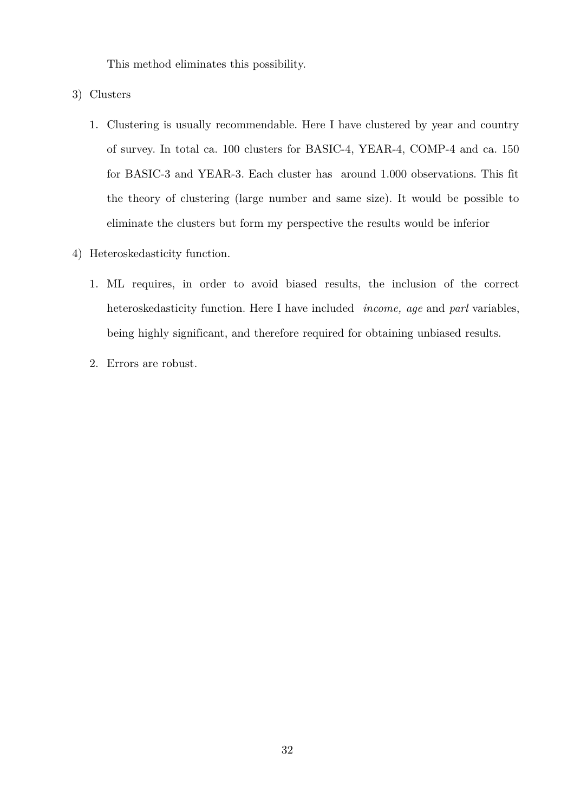This method eliminates this possibility.

- 3) Clusters
	- 1. Clustering is usually recommendable. Here I have clustered by year and country of survey. In total ca. 100 clusters for BASIC-4, YEAR-4, COMP-4 and ca. 150 for BASIC-3 and YEAR-3. Each cluster has around 1.000 observations. This fit the theory of clustering (large number and same size). It would be possible to eliminate the clusters but form my perspective the results would be inferior
- 4) Heteroskedasticity function.
	- 1. ML requires, in order to avoid biased results, the inclusion of the correct heteroskedasticity function. Here I have included *income, age* and *parl* variables, being highly significant, and therefore required for obtaining unbiased results.
	- 2. Errors are robust.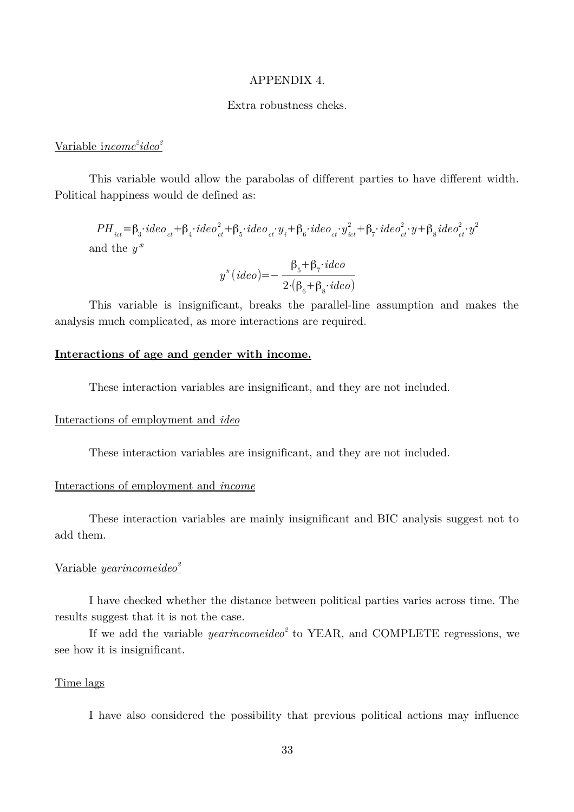#### APPENDIX 4.

#### Extra robustness cheks.

# <u>Variable income<sup>2</sup>ideo<sup>2</sup></u>

This variable would allow the parabolas of different parties to have different width. Political happiness would de defined as:

 $PH_{_{ict}}=\beta_{3}\cdot ideo_{_{ct}}+\beta_{4}\cdot ideo_{_{ct}}^{2}+\beta_{5}\cdot ideo_{_{ct}}\cdot y_{_{i}}+\beta_{6}\cdot ideo_{_{ct}}\cdot y_{_{ict}}^{2}+\beta_{7}\cdot ideo_{_{ct}}^{2}\cdot y+\beta_{8} ideo_{_{ct}}^{2}\cdot y^{2}$ and the *y\**

$$
y^*(ideo) = -\frac{\beta_5 + \beta_7 \cdot ideo}{2 \cdot (\beta_6 + \beta_8 \cdot ideo)}
$$

This variable is insignificant, breaks the parallel-line assumption and makes the analysis much complicated, as more interactions are required.

#### **Interactions of age and gender with income.**

These interaction variables are insignificant, and they are not included.

#### Interactions of employment and *ideo*

These interaction variables are insignificant, and they are not included.

#### Interactions of employment and *income*

These interaction variables are mainly insignificant and BIC analysis suggest not to add them.

# Variable *yearincomeideo<sup>2</sup>*

I have checked whether the distance between political parties varies across time. The results suggest that it is not the case.

If we add the variable *yearincomeideo<sup>2</sup>* to YEAR, and COMPLETE regressions, we see how it is insignificant.

#### Time lags

I have also considered the possibility that previous political actions may influence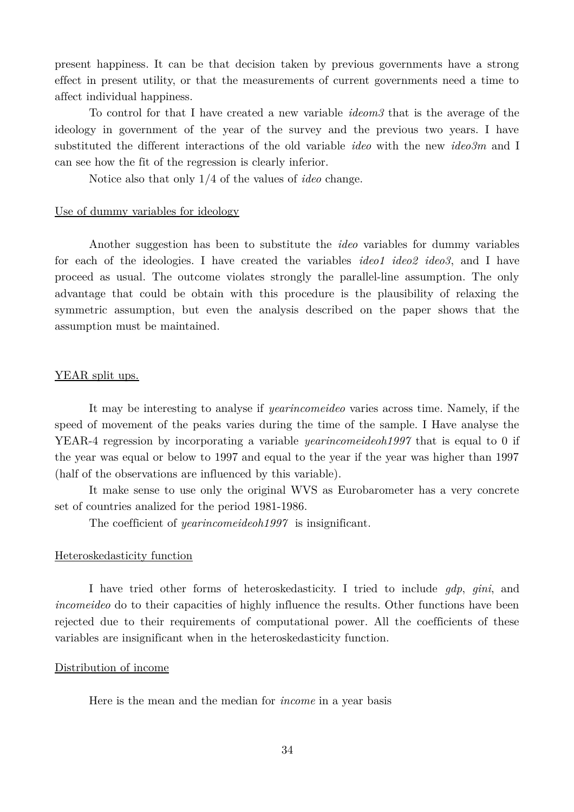present happiness. It can be that decision taken by previous governments have a strong effect in present utility, or that the measurements of current governments need a time to affect individual happiness.

To control for that I have created a new variable *ideom3* that is the average of the ideology in government of the year of the survey and the previous two years. I have substituted the different interactions of the old variable *ideo* with the new *ideo3m* and I can see how the fit of the regression is clearly inferior.

Notice also that only 1/4 of the values of *ideo* change.

#### Use of dummy variables for ideology

Another suggestion has been to substitute the *ideo* variables for dummy variables for each of the ideologies. I have created the variables *ideo1 ideo2 ideo3*, and I have proceed as usual. The outcome violates strongly the parallel-line assumption. The only advantage that could be obtain with this procedure is the plausibility of relaxing the symmetric assumption, but even the analysis described on the paper shows that the assumption must be maintained.

#### YEAR split ups.

It may be interesting to analyse if *yearincomeideo* varies across time. Namely, if the speed of movement of the peaks varies during the time of the sample. I Have analyse the YEAR-4 regression by incorporating a variable *yearincomeideoh1997* that is equal to 0 if the year was equal or below to 1997 and equal to the year if the year was higher than 1997 (half of the observations are influenced by this variable).

It make sense to use only the original WVS as Eurobarometer has a very concrete set of countries analized for the period 1981-1986.

The coefficient of *yearincomeideoh1997* is insignificant.

#### Heteroskedasticity function

I have tried other forms of heteroskedasticity. I tried to include *gdp*, *gini*, and *incomeideo* do to their capacities of highly influence the results. Other functions have been rejected due to their requirements of computational power. All the coefficients of these variables are insignificant when in the heteroskedasticity function.

#### Distribution of income

Here is the mean and the median for *income* in a year basis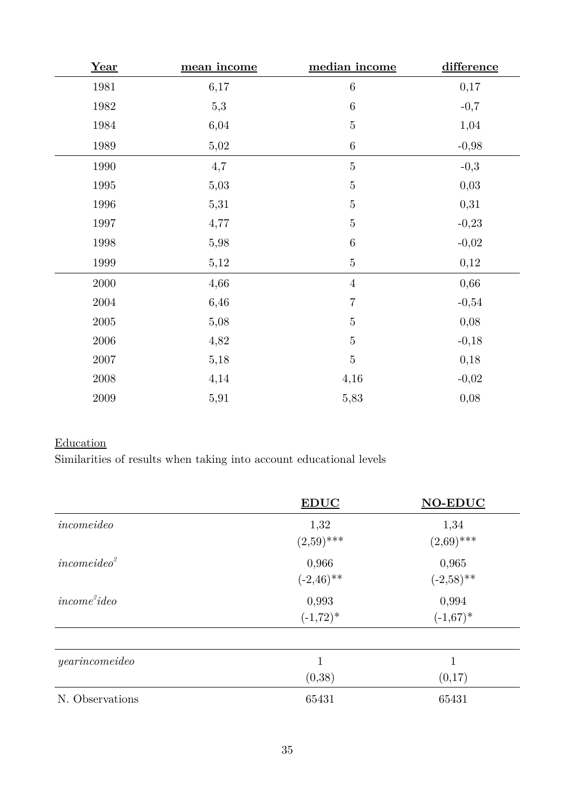| Year       | mean income | median income  | difference |
|------------|-------------|----------------|------------|
| 1981       | 6,17        | $\,6\,$        | 0,17       |
| 1982       | 5,3         | $\,6\,$        | $-0,7$     |
| 1984       | 6,04        | $\bf 5$        | 1,04       |
| 1989       | 5,02        | $\,6\,$        | $-0,98$    |
| 1990       | 4,7         | $\bf 5$        | $-0,3$     |
| 1995       | 5,03        | $\bf 5$        | 0,03       |
| $1996\,$   | 5,31        | $\bf 5$        | 0,31       |
| 1997       | 4,77        | $\bf 5$        | $-0,23$    |
| 1998       | 5,98        | $\,6\,$        | $-0,02$    |
| 1999       | 5,12        | $\bf 5$        | 0,12       |
| $2000\,$   | 4,66        | $\overline{4}$ | 0,66       |
| $\,2004\,$ | 6,46        | $\sqrt{ }$     | $-0,54$    |
| $\,2005\,$ | 5,08        | $\bf 5$        | 0,08       |
| $\,2006\,$ | 4,82        | $\bf 5$        | $-0,18$    |
| $2007\,$   | 5,18        | $\bf 5$        | 0,18       |
| $\,2008\,$ | 4,14        | 4,16           | $-0,02$    |
| $\,2009\,$ | 5,91        | 5,83           | 0,08       |

# **Education**

Similarities of results when taking into account educational levels

|                         | <b>EDUC</b>            | <b>NO-EDUC</b>        |
|-------------------------|------------------------|-----------------------|
| incomeideo              | 1,32<br>$(2,59)$ ***   | 1,34<br>$(2,69)$ ***  |
| incomeideo <sup>2</sup> | 0,966<br>$(-2, 46)$ ** | 0,965<br>$(-2,58)$ ** |
| $income^2ideo$          | 0,993<br>$(-1, 72)^*$  | 0,994<br>$(-1,67)^*$  |
| yearincomeideo          | 1<br>(0,38)            | 1<br>(0,17)           |
| N. Observations         | 65431                  | 65431                 |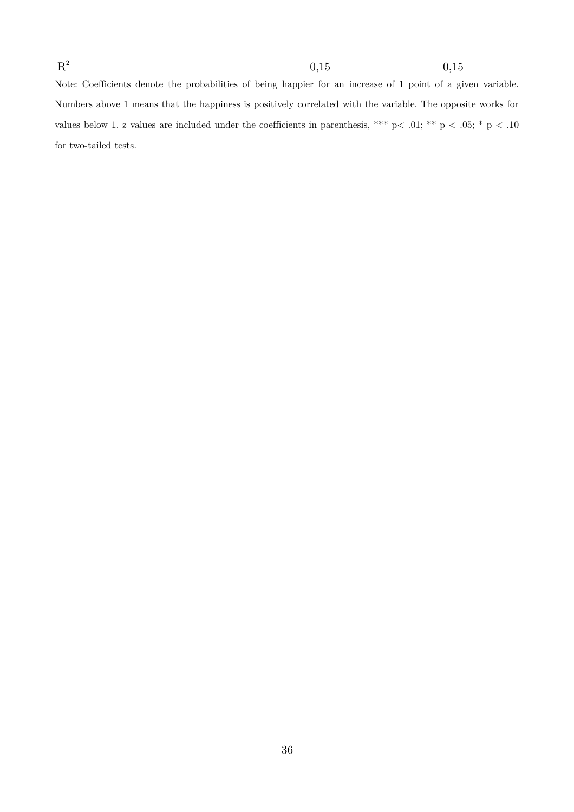Note: Coefficients denote the probabilities of being happier for an increase of 1 point of a given variable. Numbers above 1 means that the happiness is positively correlated with the variable. The opposite works for values below 1. z values are included under the coefficients in parenthesis, \*\*\* p < .01; \*\* p < .05; \* p < .10 for two-tailed tests.

 $\mathrm{R}^2$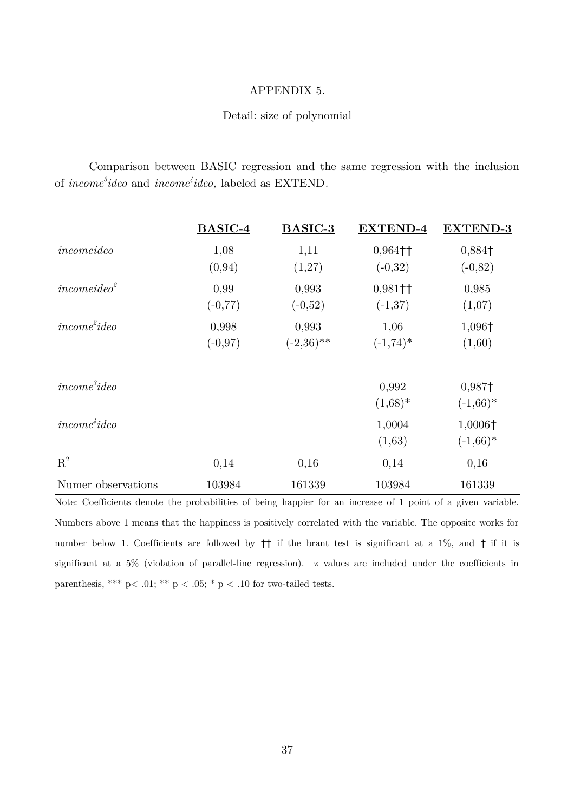### APPENDIX 5.

#### Detail: size of polynomial

Comparison between BASIC regression and the same regression with the inclusion of *income<sup>3</sup> ideo* and *income<sup>4</sup> ideo,* labeled as EXTEND*.*

|                         | BASIC-4            | BASIC-3               | <b>EXTEND-4</b>                    | <b>EXTEND-3</b>                       |
|-------------------------|--------------------|-----------------------|------------------------------------|---------------------------------------|
| incomeideo              | 1,08<br>(0, 94)    | 1,11<br>(1,27)        | $0,964$ <sup>++</sup><br>$(-0,32)$ | 0,884+<br>$(-0, 82)$                  |
| incomeideo <sup>2</sup> | 0,99<br>$(-0, 77)$ | 0,993<br>$(-0,52)$    | $0,981$ <sup>++</sup><br>$(-1,37)$ | 0,985<br>(1,07)                       |
| $income^2ideo$          | 0,998<br>$(-0.97)$ | 0,993<br>$(-2,36)$ ** | 1,06<br>$(-1,74)^*$                | 1,096†<br>(1,60)                      |
| $income^3ideo$          |                    |                       | 0,992                              | 0,987†                                |
| $income^4ideo$          |                    |                       | $(1,68)^*$<br>1,0004<br>(1,63)     | $(-1,66)^*$<br>1,0006+<br>$(-1,66)^*$ |
| $R^2$                   | 0,14               | 0,16                  | 0,14                               | 0,16                                  |
| Numer observations      | 103984             | 161339                | 103984                             | 161339                                |

Note: Coefficients denote the probabilities of being happier for an increase of 1 point of a given variable. Numbers above 1 means that the happiness is positively correlated with the variable. The opposite works for number below 1. Coefficients are followed by †† if the brant test is significant at a 1%, and † if it is significant at a 5% (violation of parallel-line regression). z values are included under the coefficients in parenthesis, \*\*\* p< .01; \*\* p < .05; \* p < .10 for two-tailed tests.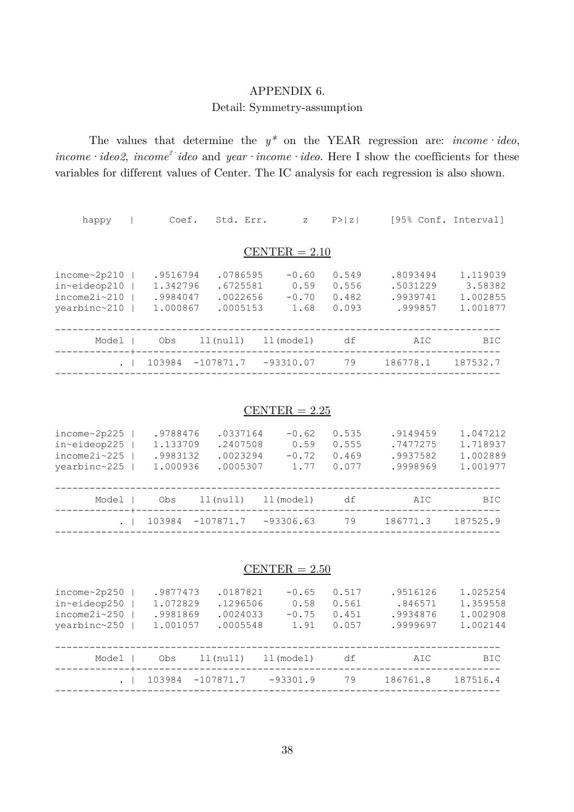# APPENDIX 6.

### Detail: Symmetry-assumption

The values that determine the  $y^*$  on the YEAR regression are: *income* · *ideo*, *income·ideo2*, *income<sup>2</sup> ideo* and *year · income · ideo*. Here I show the coefficients for these variables for different values of Center. The IC analysis for each regression is also shown.

| happy                                                               | Coef.                                        |             | Std. Err.                                    | $\mathbf{Z}$                       | P >  z                           |                |                                             | [95% Conf. Interval]                        |
|---------------------------------------------------------------------|----------------------------------------------|-------------|----------------------------------------------|------------------------------------|----------------------------------|----------------|---------------------------------------------|---------------------------------------------|
|                                                                     |                                              |             |                                              | CENTER $= 2.10$                    |                                  |                |                                             |                                             |
| income~2p210<br>in~eideop210<br>$income2i \sim 210$<br>yearbinc~210 | .9516794<br>1.342796<br>.9984047<br>1,000867 |             | .0786595<br>.6725581<br>.0022656<br>.0005153 | $-0.60$<br>0.59<br>$-0.70$<br>1.68 | 0.549<br>0.556<br>0.482<br>0.093 |                | .8093494<br>.5031229<br>.9939741<br>.999857 | 1.119039<br>3.58382<br>1.002855<br>1.001877 |
| Model                                                               | Obs                                          | $11$ (null) |                                              | ll(model)                          |                                  | df             | AIC                                         | <b>BIC</b>                                  |
|                                                                     | 103984                                       | $-107871.7$ |                                              | $-93310.07$                        |                                  | 79<br>186778.1 |                                             | 187532.7                                    |

### $CENTER = 2.25$

| income~2p225<br>in~eideop225<br>income2i~225<br>yearbinc~225 | .9788476<br>1.133709<br>.9983132<br>1.000936 |             | .0337164<br>.2407508<br>.0023294<br>.0005307 |             | $-0.62$<br>0.59<br>$-0.72$<br>1.77 | 0.535<br>0.555<br>0.469<br>0.077 | .9149459<br>.7477275<br>.9937582<br>.9998969 | 1.047212<br>1.718937<br>1.002889<br>1.001977 |
|--------------------------------------------------------------|----------------------------------------------|-------------|----------------------------------------------|-------------|------------------------------------|----------------------------------|----------------------------------------------|----------------------------------------------|
| Model                                                        | Obs                                          | ll(null)    |                                              | ll(model)   |                                    | df                               | AIC                                          | <b>BIC</b>                                   |
| ---------+--                                                 | 103984                                       | $-107871.7$ |                                              | $-93306.63$ |                                    | 79                               | 186771.3                                     | 187525.9                                     |
|                                                              |                                              |             |                                              |             |                                    |                                  |                                              |                                              |

#### $CENTER = 2.50$

| income~2p250<br>in~eideop250<br>$income2i \sim 250$<br>yearbinc~250 | .9877473<br>1.072829<br>.9981869<br>1.001057 | .0187821<br>.1296506<br>.0024033<br>.0005548 | $-0.65$<br>0.58<br>$-0.75$<br>1.91 | 0.517<br>0.561<br>0.451<br>0.057 | .9516126<br>.846571<br>.9934876<br>.9999697 | 1.025254<br>1.359558<br>1,002908<br>1.002144 |
|---------------------------------------------------------------------|----------------------------------------------|----------------------------------------------|------------------------------------|----------------------------------|---------------------------------------------|----------------------------------------------|
| Model<br>-------------+---                                          | Obs                                          | $11$ (null)                                  | ll(model)                          | df                               | AIC                                         | <b>BIC</b>                                   |
|                                                                     | 103984                                       | $-107871.7$                                  | $-93301.9$                         | 79                               | 186761.8                                    | 187516.4                                     |
|                                                                     |                                              |                                              |                                    |                                  |                                             |                                              |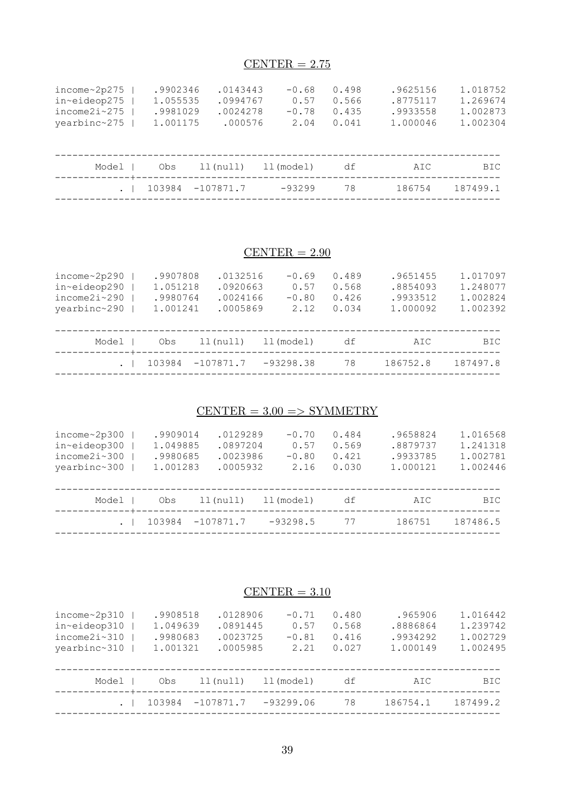# $CENTER = 2.75$

| income~2p275<br>in~eideop275<br>$income2i \sim 275$<br>yearbinc~275 | .9902346<br>1.055535<br>.9981029<br>1.001175 | .0143443<br>.0994767<br>.0024278<br>.000576 | $-0.68$<br>0.57<br>$-0.78$<br>2.04 | 0.498<br>0.566<br>0.435<br>0.041 | .9625156<br>.8775117<br>.9933558<br>1.000046 | 1.018752<br>1.269674<br>1.002873<br>1,002304 |
|---------------------------------------------------------------------|----------------------------------------------|---------------------------------------------|------------------------------------|----------------------------------|----------------------------------------------|----------------------------------------------|
| Model<br>--------+-                                                 | Obs                                          | $11$ ( $null$ )                             | ll(model)                          | df                               | AIC                                          | <b>BIC</b>                                   |
|                                                                     | 103984                                       | $-107871.7$                                 | $-93299$                           | 78                               | 186754                                       | 187499.1                                     |
|                                                                     |                                              |                                             |                                    |                                  |                                              |                                              |

# $CENTER = 2.90$

| income~2p290               | .9907808 | .0132516        |             | $-0.69$ | 0.489 | .9651455 | 1.017097   |
|----------------------------|----------|-----------------|-------------|---------|-------|----------|------------|
| in~eideop290               | 1.051218 | .0920663        |             | 0.57    | 0.568 | .8854093 | 1.248077   |
| $income2i \sim 290$        | .9980764 | .0024166        |             | $-0.80$ | 0.426 | .9933512 | 1.002824   |
| yearbinc~290               | 1.001241 | .0005869        |             | 2.12    | 0.034 | 1.000092 | 1.002392   |
|                            |          |                 |             |         |       |          |            |
| Model<br>-------------+--- | Obs      | $11$ ( $null$ ) | ll(model)   |         | df    | AIC      | <b>BIC</b> |
|                            | 103984   | $-107871.7$     | $-93298.38$ |         | 78    | 186752.8 | 187497.8   |
|                            |          |                 |             |         |       |          |            |

# $CENTER = 3,00 => SYMMETRY$

| income~2p300<br>in~eideop300<br>$income2i \sim 300$<br>yearbinc~300 | .9909014<br>1.049885<br>.9980685<br>1.001283 | .0129289<br>.0897204<br>.0023986<br>.0005932 | $-0.70$<br>0.57<br>$-0.80$<br>2.16 | 0.484<br>0.569<br>0.421<br>0.030 | .9658824<br>.8879737<br>.9933785<br>1.000121 | 1.016568<br>1.241318<br>1.002781<br>1.002446 |
|---------------------------------------------------------------------|----------------------------------------------|----------------------------------------------|------------------------------------|----------------------------------|----------------------------------------------|----------------------------------------------|
| Model                                                               | Obs                                          | $11$ ( $null$ )                              | ll(model)                          | df                               | AIC                                          | BIC.                                         |
| --------+---                                                        | 103984                                       | $-107871.7$                                  | $-93298.5$                         | 77                               | 186751                                       | 187486.5                                     |
|                                                                     |                                              |                                              |                                    |                                  |                                              |                                              |

# $CENTER = 3.10$

| income~2p310<br>in~eideop310<br>income2i~310<br>yearbinc~310 | .9908518<br>1.049639<br>.9980683<br>1.001321 | .0128906<br>.0891445<br>.0023725<br>.0005985 | $-0.71$<br>0.57<br>$-0.81$<br>2.21 | 0.480<br>0.568<br>0.416<br>0.027 | .965906<br>.8886864<br>.9934292<br>1.000149 | 1.016442<br>1.239742<br>1.002729<br>1.002495 |
|--------------------------------------------------------------|----------------------------------------------|----------------------------------------------|------------------------------------|----------------------------------|---------------------------------------------|----------------------------------------------|
| Model                                                        | Obs                                          | ll(null)                                     | ll(model)                          | df                               | AIC                                         | BIC.                                         |
| ---------+---                                                | 103984                                       | $-107871.7$                                  | $-93299.06$                        | 78                               | 186754.1                                    | 187499.2                                     |
|                                                              |                                              |                                              |                                    |                                  |                                             |                                              |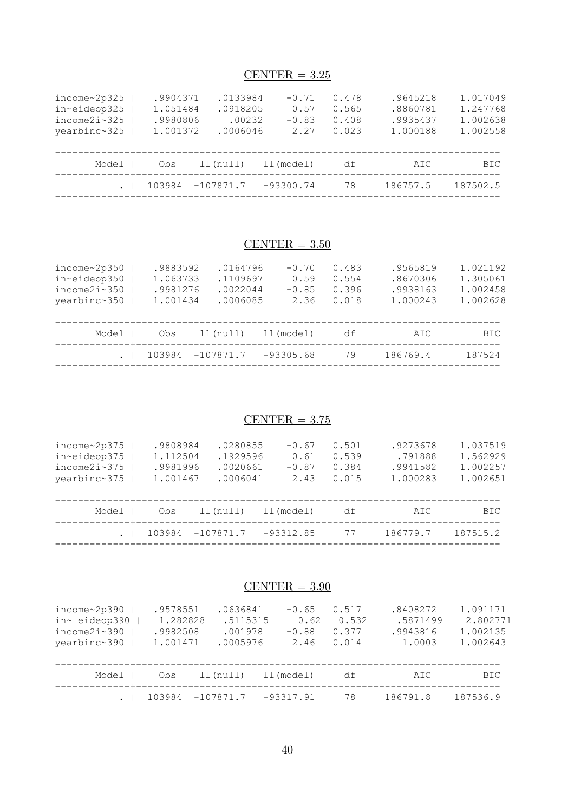# $CENTER = 3.25$

| income~2p325<br>in~eideop325<br>$income2i \sim 325$<br>yearbinc~325 | .9904371<br>1.051484<br>.9980806<br>1.001372 | .0133984<br>.0918205<br>.00232<br>.0006046 | $-0.71$<br>0.57<br>$-0.83$<br>2.27 | 0.478<br>0.565<br>0.408<br>0.023 | .9645218<br>.8860781<br>.9935437<br>1.000188 | 1.017049<br>1.247768<br>1.002638<br>1.002558 |
|---------------------------------------------------------------------|----------------------------------------------|--------------------------------------------|------------------------------------|----------------------------------|----------------------------------------------|----------------------------------------------|
| Model                                                               | Obs                                          | $11$ ( $null$ )                            | ll(model)                          | df                               | AIC                                          | BIC.                                         |
| ----------+------                                                   | 103984                                       | $-107871.7$                                | $-93300.74$                        | 78                               | 186757.5                                     | 187502.5                                     |
|                                                                     |                                              |                                            |                                    |                                  |                                              |                                              |

# $CENTER = 3.50$

| income~2p350<br>in~eideop350<br>$income2i \sim 350$<br>yearbinc~350 | .9883592<br>1.063733<br>.9981276<br>1.001434 | .0164796<br>.1109697<br>.0022044<br>.0006085 | $-0.70$<br>0.59<br>$-0.85$<br>2.36 | 0.483<br>0.554<br>0.396<br>0.018 | .9565819<br>.8670306<br>.9938163<br>1.000243 | 1.021192<br>1.305061<br>1.002458<br>1.002628 |
|---------------------------------------------------------------------|----------------------------------------------|----------------------------------------------|------------------------------------|----------------------------------|----------------------------------------------|----------------------------------------------|
| Model                                                               | Obs                                          | ll(null)                                     | ll(model)                          | df                               | AIC                                          | BIC.                                         |
|                                                                     | 103984                                       | $-107871.7$                                  | $-93305.68$                        | 79                               | 186769.4                                     | 187524                                       |
|                                                                     |                                              |                                              |                                    |                                  |                                              |                                              |

# $CENTER = 3.75$

| income~2p375<br>in~eideop375<br>$income2i \sim 375$<br>yearbinc~375 | .9808984<br>1.112504<br>.9981996<br>1.001467 | .0280855<br>.1929596<br>.0020661<br>.0006041 | $-0.67$<br>0.61<br>$-0.87$<br>2.43 | 0.501<br>0.539<br>0.384<br>0.015 | .9273678<br>.791888<br>.9941582<br>1.000283 | 1.037519<br>1.562929<br>1.002257<br>1.002651 |
|---------------------------------------------------------------------|----------------------------------------------|----------------------------------------------|------------------------------------|----------------------------------|---------------------------------------------|----------------------------------------------|
| Model                                                               | Obs                                          | ll(null)                                     | ll(model)                          | df                               | AIC                                         | <b>BIC</b>                                   |
|                                                                     | 103984                                       | $-107871.7$                                  | $-93312.85$                        | 77                               | 186779.7                                    | 187515.2                                     |

# $CENTER = 3.90$

| income~2p390<br>in~ eideop390<br>$income2i \sim 390$<br>vearbinc~390 | .9578551<br>1.282828<br>.9982508<br>1.001471 | .0636841<br>.5115315<br>.001978<br>.0005976 | $-0.65$<br>0.62<br>$-0.88$<br>2.46 | 0.517<br>0.532<br>0.377<br>0.014 | .8408272<br>.5871499<br>.9943816<br>1,0003 | 1.091171<br>2.802771<br>1.002135<br>1.002643 |
|----------------------------------------------------------------------|----------------------------------------------|---------------------------------------------|------------------------------------|----------------------------------|--------------------------------------------|----------------------------------------------|
| Model<br>-------------+--------                                      | Obs                                          | $11$ (null)                                 | ll(model)                          | df                               | AIC                                        | BIC                                          |
|                                                                      | 103984                                       | $-107871.7$                                 | $-93317.91$                        | 78                               | 186791.8                                   | 187536.9                                     |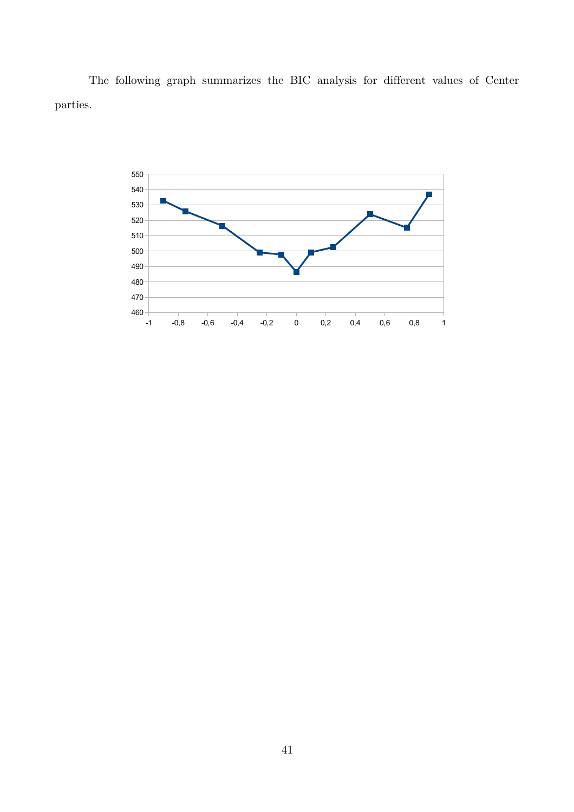The following graph summarizes the BIC analysis for different values of Center parties.

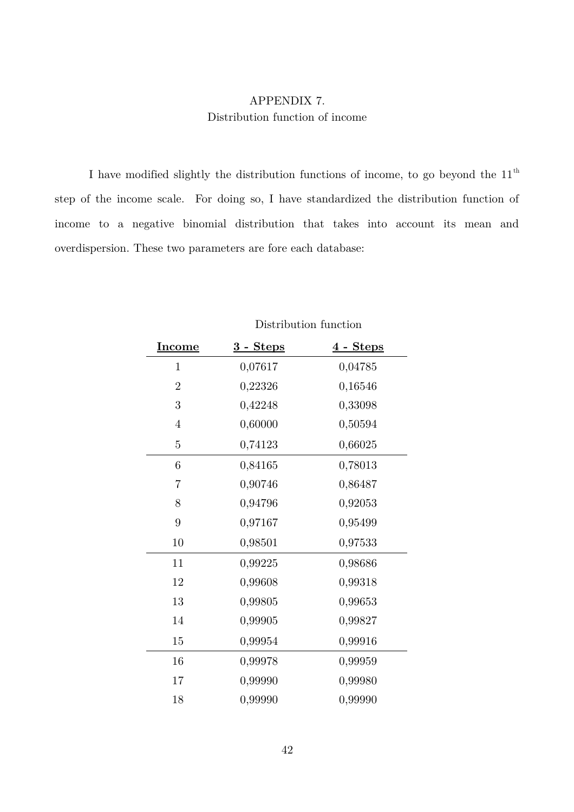# APPENDIX 7. Distribution function of income

I have modified slightly the distribution functions of income, to go beyond the  $11<sup>th</sup>$ step of the income scale. For doing so, I have standardized the distribution function of income to a negative binomial distribution that takes into account its mean and overdispersion. These two parameters are fore each database:

| <b>Income</b>    | <u>3 - Steps</u> | $4$ - Steps |
|------------------|------------------|-------------|
| 1                | 0,07617          | 0,04785     |
| $\overline{2}$   | 0,22326          | 0,16546     |
| $\boldsymbol{3}$ | 0,42248          | 0,33098     |
| $\overline{4}$   | 0,60000          | 0,50594     |
| $\overline{5}$   | 0,74123          | 0,66025     |
| $6\phantom{.}6$  | 0,84165          | 0,78013     |
| $\overline{7}$   | 0,90746          | 0,86487     |
| $8\,$            | 0,94796          | 0,92053     |
| 9                | 0,97167          | 0,95499     |
| 10               | 0,98501          | 0,97533     |
| 11               | 0,99225          | 0,98686     |
| 12               | 0,99608          | 0,99318     |
| 13               | 0,99805          | 0,99653     |
| 14               | 0,99905          | 0,99827     |
| 15               | 0,99954          | 0,99916     |
| 16               | 0,99978          | 0,99959     |
| $17\,$           | 0,99990          | 0,99980     |
| 18               | 0,99990          | 0,99990     |

Distribution function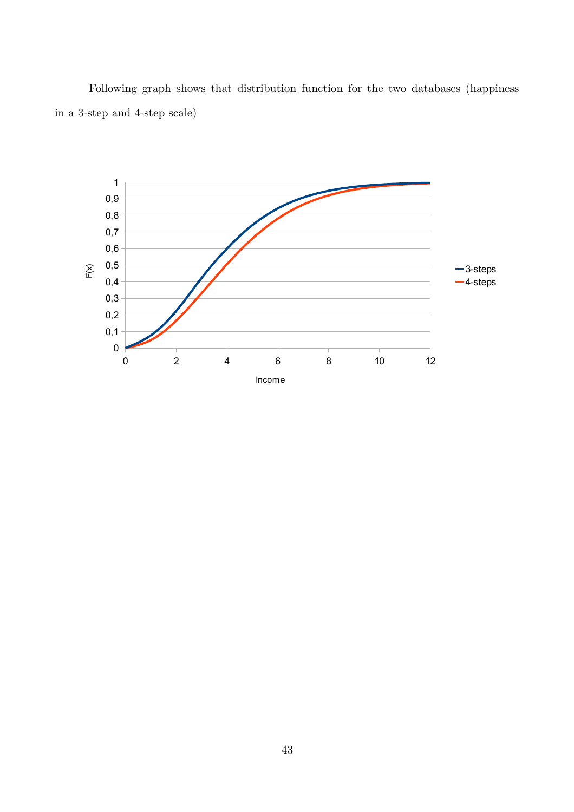Following graph shows that distribution function for the two databases (happiness in a 3-step and 4-step scale)

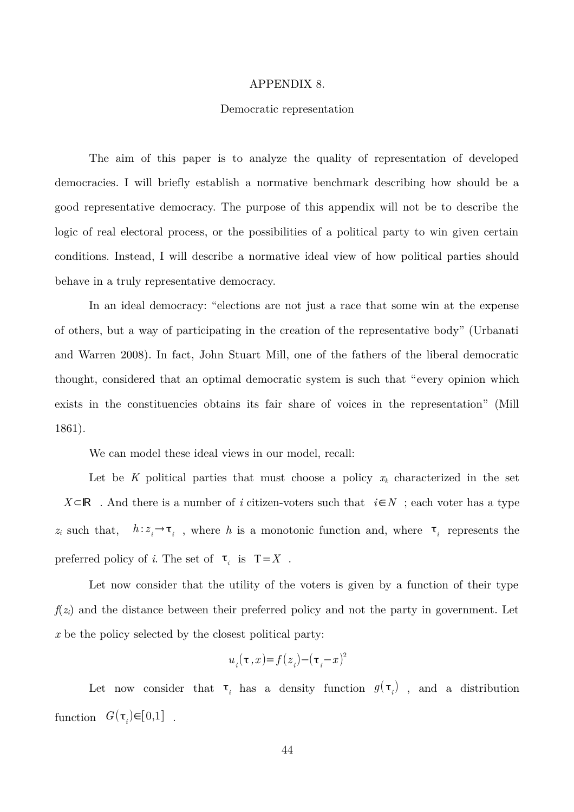#### APPENDIX 8.

#### Democratic representation

The aim of this paper is to analyze the quality of representation of developed democracies. I will briefly establish a normative benchmark describing how should be a good representative democracy. The purpose of this appendix will not be to describe the logic of real electoral process, or the possibilities of a political party to win given certain conditions. Instead, I will describe a normative ideal view of how political parties should behave in a truly representative democracy.

In an ideal democracy: "elections are not just a race that some win at the expense of others, but a way of participating in the creation of the representative body" (Urbanati and Warren 2008). In fact, John Stuart Mill, one of the fathers of the liberal democratic thought, considered that an optimal democratic system is such that "every opinion which exists in the constituencies obtains its fair share of voices in the representation" (Mill 1861).

We can model these ideal views in our model, recall:

Let be K political parties that must choose a policy  $x_k$  characterized in the set *X*⊂ℝ . And there is a number of *i* citizen-voters such that *i*∈*N* ; each voter has a type  $z_i$  such that,  $h: z_i \to \tau_i$ , where h is a monotonic function and, where  $\tau_i$  represents the preferred policy of *i*. The set of  $\tau_i$  is  $T=X$ .

Let now consider that the utility of the voters is given by a function of their type  $f(z_i)$  and the distance between their preferred policy and not the party in government. Let *x* be the policy selected by the closest political party:

$$
u_i(\tau\,,x)\hspace{-0.1cm}=\hspace{-0.1cm}f(z_i)\hspace{-0.1cm}-\hspace{-0.1cm}(\tau_i\hspace{-0.1cm}-\hspace{-0.1cm}x)^2
$$

Let now consider that  $\tau_i$  has a density function  $g(\tau_i)$ , and a distribution function  $G(\tau_i) \in [0,1]$ .